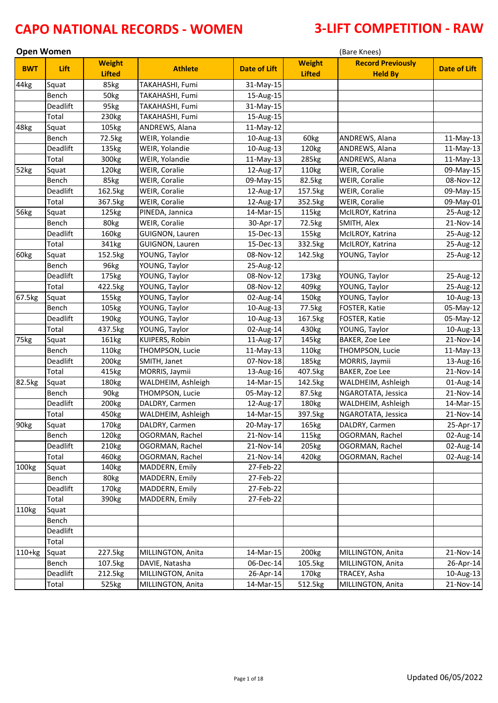| <b>Open Women</b> |          |                                |                    |                     |                                | (Bare Knees)                               |              |
|-------------------|----------|--------------------------------|--------------------|---------------------|--------------------------------|--------------------------------------------|--------------|
| <b>BWT</b>        | Lift     | <b>Weight</b><br><b>Lifted</b> | <b>Athlete</b>     | <b>Date of Lift</b> | <b>Weight</b><br><b>Lifted</b> | <b>Record Previously</b><br><b>Held By</b> | Date of Lift |
| 44kg              | Squat    | 85kg                           | TAKAHASHI, Fumi    | 31-May-15           |                                |                                            |              |
|                   | Bench    | 50kg                           | TAKAHASHI, Fumi    | 15-Aug-15           |                                |                                            |              |
|                   | Deadlift | 95kg                           | TAKAHASHI, Fumi    | 31-May-15           |                                |                                            |              |
|                   | Total    | 230kg                          | TAKAHASHI, Fumi    | 15-Aug-15           |                                |                                            |              |
| 48kg              | Squat    | 105kg                          | ANDREWS, Alana     | 11-May-12           |                                |                                            |              |
|                   | Bench    | 72.5kg                         | WEIR, Yolandie     | 10-Aug-13           | 60kg                           | ANDREWS, Alana                             | 11-May-13    |
|                   | Deadlift | 135kg                          | WEIR, Yolandie     | 10-Aug-13           | 120kg                          | ANDREWS, Alana                             | 11-May-13    |
|                   | Total    | 300kg                          | WEIR, Yolandie     | $11-May-13$         | 285kg                          | ANDREWS, Alana                             | 11-May-13    |
| 52kg              | Squat    | 120kg                          | WEIR, Coralie      | 12-Aug-17           | 110kg                          | WEIR, Coralie                              | 09-May-15    |
|                   | Bench    | 85kg                           | WEIR, Coralie      | 09-May-15           | 82.5kg                         | WEIR, Coralie                              | 08-Nov-12    |
|                   | Deadlift | 162.5kg                        | WEIR, Coralie      | 12-Aug-17           | 157.5kg                        | WEIR, Coralie                              | 09-May-15    |
|                   | Total    | 367.5kg                        | WEIR, Coralie      | 12-Aug-17           | 352.5kg                        | WEIR, Coralie                              | 09-May-01    |
| 56kg              | Squat    | 125kg                          | PINEDA, Jannica    | 14-Mar-15           | 115kg                          | McILROY, Katrina                           | 25-Aug-12    |
|                   | Bench    | 80kg                           | WEIR, Coralie      | 30-Apr-17           | 72.5kg                         | SMITH, Alex                                | 21-Nov-14    |
|                   | Deadlift | 160kg                          | GUIGNON, Lauren    | 15-Dec-13           | 155kg                          | McILROY, Katrina                           | 25-Aug-12    |
|                   | Total    | 341kg                          | GUIGNON, Lauren    | 15-Dec-13           | 332.5kg                        | McILROY, Katrina                           | 25-Aug-12    |
| 60kg              | Squat    | 152.5kg                        | YOUNG, Taylor      | 08-Nov-12           | 142.5kg                        | YOUNG, Taylor                              | 25-Aug-12    |
|                   | Bench    | 96kg                           | YOUNG, Taylor      | 25-Aug-12           |                                |                                            |              |
|                   | Deadlift | 175kg                          | YOUNG, Taylor      | 08-Nov-12           | 173kg                          | YOUNG, Taylor                              | 25-Aug-12    |
|                   | Total    | 422.5kg                        | YOUNG, Taylor      | 08-Nov-12           | 409kg                          | YOUNG, Taylor                              | 25-Aug-12    |
| 67.5kg            | Squat    | 155kg                          | YOUNG, Taylor      | 02-Aug-14           | 150kg                          | YOUNG, Taylor                              | 10-Aug-13    |
|                   | Bench    | 105kg                          | YOUNG, Taylor      | 10-Aug-13           | 77.5kg                         | FOSTER, Katie                              | 05-May-12    |
|                   | Deadlift | 190kg                          | YOUNG, Taylor      | 10-Aug-13           | 167.5kg                        | FOSTER, Katie                              | 05-May-12    |
|                   | Total    | 437.5kg                        | YOUNG, Taylor      | 02-Aug-14           | 430kg                          | YOUNG, Taylor                              | 10-Aug-13    |
| 75kg              | Squat    | 161kg                          | KUIPERS, Robin     | 11-Aug-17           | 145kg                          | BAKER, Zoe Lee                             | 21-Nov-14    |
|                   | Bench    | 110kg                          | THOMPSON, Lucie    | 11-May-13           | 110kg                          | THOMPSON, Lucie                            | 11-May-13    |
|                   | Deadlift | 200kg                          | SMITH, Janet       | 07-Nov-18           | 185kg                          | MORRIS, Jaymii                             | 13-Aug-16    |
|                   | Total    | 415kg                          | MORRIS, Jaymii     | 13-Aug-16           | 407.5kg                        | <b>BAKER, Zoe Lee</b>                      | 21-Nov-14    |
| 82.5kg            | Squat    | 180kg                          | WALDHEIM, Ashleigh | 14-Mar-15           | 142.5kg                        | WALDHEIM, Ashleigh                         | 01-Aug-14    |
|                   | Bench    | 90kg                           | THOMPSON, Lucie    | 05-May-12           | 87.5kg                         | NGAROTATA, Jessica                         | 21-Nov-14    |
|                   | Deadlift | 200kg                          | DALDRY, Carmen     | 12-Aug-17           | 180kg                          | WALDHEIM, Ashleigh                         | 14-Mar-15    |
|                   | Total    | 450kg                          | WALDHEIM, Ashleigh | 14-Mar-15           | 397.5kg                        | NGAROTATA, Jessica                         | 21-Nov-14    |
| 90kg              | Squat    | 170kg                          | DALDRY, Carmen     | 20-May-17           | 165kg                          | DALDRY, Carmen                             | 25-Apr-17    |
|                   | Bench    | 120kg                          | OGORMAN, Rachel    | 21-Nov-14           | 115kg                          | OGORMAN, Rachel                            | 02-Aug-14    |
|                   | Deadlift | 210 <sub>kg</sub>              | OGORMAN, Rachel    | 21-Nov-14           | 205kg                          | OGORMAN, Rachel                            | 02-Aug-14    |
|                   | Total    | 460kg                          | OGORMAN, Rachel    | 21-Nov-14           | 420kg                          | OGORMAN, Rachel                            | 02-Aug-14    |
| 100kg             | Squat    | 140kg                          | MADDERN, Emily     | 27-Feb-22           |                                |                                            |              |
|                   | Bench    | 80kg                           | MADDERN, Emily     | 27-Feb-22           |                                |                                            |              |
|                   | Deadlift | 170kg                          | MADDERN, Emily     | 27-Feb-22           |                                |                                            |              |
|                   | Total    | 390kg                          | MADDERN, Emily     | 27-Feb-22           |                                |                                            |              |
| 110kg             | Squat    |                                |                    |                     |                                |                                            |              |
|                   | Bench    |                                |                    |                     |                                |                                            |              |
|                   | Deadlift |                                |                    |                     |                                |                                            |              |
|                   | Total    |                                |                    |                     |                                |                                            |              |
| $110+kg$          | Squat    | 227.5kg                        | MILLINGTON, Anita  | 14-Mar-15           | 200 <sub>kg</sub>              | MILLINGTON, Anita                          | 21-Nov-14    |
|                   | Bench    | 107.5kg                        | DAVIE, Natasha     | 06-Dec-14           | 105.5kg                        | MILLINGTON, Anita                          | 26-Apr-14    |
|                   | Deadlift | 212.5kg                        | MILLINGTON, Anita  | 26-Apr-14           | 170 <sub>kg</sub>              | TRACEY, Asha                               | 10-Aug-13    |
|                   | Total    | 525kg                          | MILLINGTON, Anita  | 14-Mar-15           | 512.5kg                        | MILLINGTON, Anita                          | 21-Nov-14    |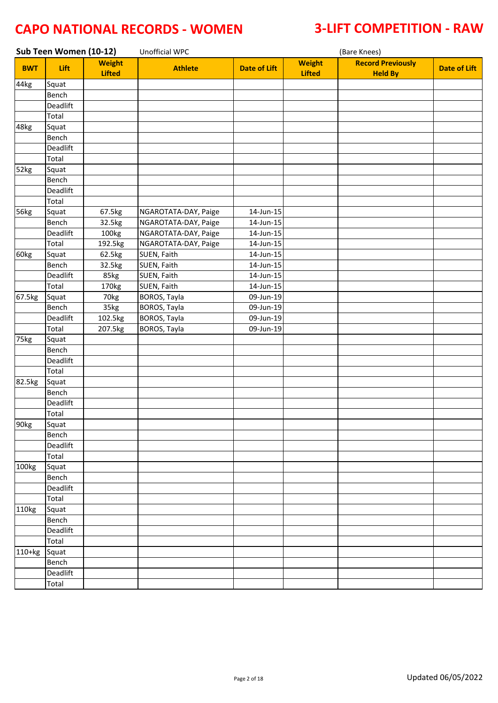|            | Sub Teen Women (10-12) |                                | <b>Unofficial WPC</b> |                     | (Bare Knees)                   |                                            |                     |  |
|------------|------------------------|--------------------------------|-----------------------|---------------------|--------------------------------|--------------------------------------------|---------------------|--|
| <b>BWT</b> | Lift                   | <b>Weight</b><br><b>Lifted</b> | <b>Athlete</b>        | <b>Date of Lift</b> | <b>Weight</b><br><b>Lifted</b> | <b>Record Previously</b><br><b>Held By</b> | <b>Date of Lift</b> |  |
| 44kg       | Squat                  |                                |                       |                     |                                |                                            |                     |  |
|            | Bench                  |                                |                       |                     |                                |                                            |                     |  |
|            | Deadlift               |                                |                       |                     |                                |                                            |                     |  |
|            | Total                  |                                |                       |                     |                                |                                            |                     |  |
| 48kg       | Squat                  |                                |                       |                     |                                |                                            |                     |  |
|            | Bench                  |                                |                       |                     |                                |                                            |                     |  |
|            | Deadlift               |                                |                       |                     |                                |                                            |                     |  |
|            | Total                  |                                |                       |                     |                                |                                            |                     |  |
| 52kg       | Squat                  |                                |                       |                     |                                |                                            |                     |  |
|            | Bench                  |                                |                       |                     |                                |                                            |                     |  |
|            | Deadlift               |                                |                       |                     |                                |                                            |                     |  |
|            | Total                  |                                |                       |                     |                                |                                            |                     |  |
| 56kg       | Squat                  | 67.5kg                         | NGAROTATA-DAY, Paige  | 14-Jun-15           |                                |                                            |                     |  |
|            | Bench                  | 32.5kg                         | NGAROTATA-DAY, Paige  | 14-Jun-15           |                                |                                            |                     |  |
|            | Deadlift               | 100kg                          | NGAROTATA-DAY, Paige  | 14-Jun-15           |                                |                                            |                     |  |
|            | Total                  | 192.5kg                        | NGAROTATA-DAY, Paige  | 14-Jun-15           |                                |                                            |                     |  |
| 60kg       | Squat                  | 62.5kg                         | SUEN, Faith           | 14-Jun-15           |                                |                                            |                     |  |
|            | Bench                  | 32.5kg                         | SUEN, Faith           | 14-Jun-15           |                                |                                            |                     |  |
|            | Deadlift               | 85kg                           | SUEN, Faith           | 14-Jun-15           |                                |                                            |                     |  |
|            | Total                  | 170kg                          | SUEN, Faith           | 14-Jun-15           |                                |                                            |                     |  |
| 67.5kg     | Squat                  | 70kg                           | BOROS, Tayla          | 09-Jun-19           |                                |                                            |                     |  |
|            | Bench                  | 35kg                           | BOROS, Tayla          | 09-Jun-19           |                                |                                            |                     |  |
|            | Deadlift               | 102.5kg                        | BOROS, Tayla          | 09-Jun-19           |                                |                                            |                     |  |
|            | Total                  | 207.5kg                        | BOROS, Tayla          | 09-Jun-19           |                                |                                            |                     |  |
| 75kg       | Squat                  |                                |                       |                     |                                |                                            |                     |  |
|            | Bench                  |                                |                       |                     |                                |                                            |                     |  |
|            | Deadlift               |                                |                       |                     |                                |                                            |                     |  |
|            | Total                  |                                |                       |                     |                                |                                            |                     |  |
| 82.5kg     | Squat                  |                                |                       |                     |                                |                                            |                     |  |
|            | Bench                  |                                |                       |                     |                                |                                            |                     |  |
|            | Deadlift               |                                |                       |                     |                                |                                            |                     |  |
|            | Total                  |                                |                       |                     |                                |                                            |                     |  |
| 90kg       | Squat                  |                                |                       |                     |                                |                                            |                     |  |
|            | Bench                  |                                |                       |                     |                                |                                            |                     |  |
|            | Deadlift               |                                |                       |                     |                                |                                            |                     |  |
|            | Total                  |                                |                       |                     |                                |                                            |                     |  |
| 100kg      | Squat                  |                                |                       |                     |                                |                                            |                     |  |
|            | Bench                  |                                |                       |                     |                                |                                            |                     |  |
|            | Deadlift               |                                |                       |                     |                                |                                            |                     |  |
|            | Total                  |                                |                       |                     |                                |                                            |                     |  |
| 110kg      | Squat                  |                                |                       |                     |                                |                                            |                     |  |
|            | Bench                  |                                |                       |                     |                                |                                            |                     |  |
|            | Deadlift               |                                |                       |                     |                                |                                            |                     |  |
|            | Total                  |                                |                       |                     |                                |                                            |                     |  |
| 110+kg     | Squat                  |                                |                       |                     |                                |                                            |                     |  |
|            | Bench                  |                                |                       |                     |                                |                                            |                     |  |
|            | Deadlift               |                                |                       |                     |                                |                                            |                     |  |
|            | Total                  |                                |                       |                     |                                |                                            |                     |  |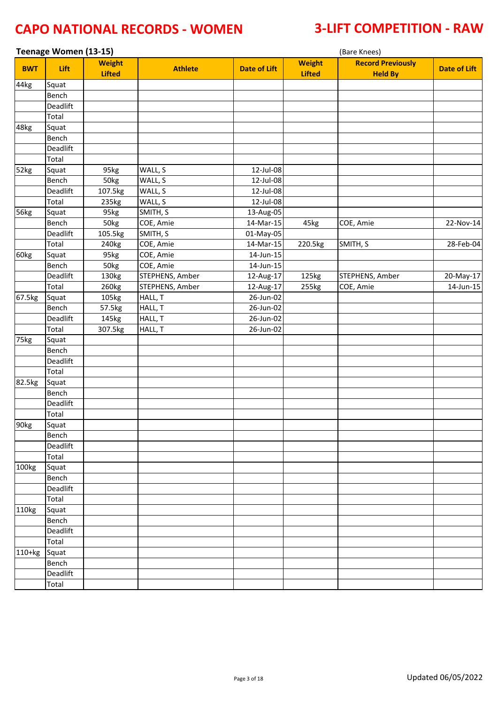| Teenage Women (13-15)<br>(Bare Knees) |              |                                |                 |                     |                                |                                            |                     |
|---------------------------------------|--------------|--------------------------------|-----------------|---------------------|--------------------------------|--------------------------------------------|---------------------|
| <b>BWT</b>                            | Lift         | <b>Weight</b><br><b>Lifted</b> | <b>Athlete</b>  | <b>Date of Lift</b> | <b>Weight</b><br><b>Lifted</b> | <b>Record Previously</b><br><b>Held By</b> | <b>Date of Lift</b> |
| 44kg                                  | Squat        |                                |                 |                     |                                |                                            |                     |
|                                       | Bench        |                                |                 |                     |                                |                                            |                     |
|                                       | Deadlift     |                                |                 |                     |                                |                                            |                     |
|                                       | Total        |                                |                 |                     |                                |                                            |                     |
| 48kg                                  | Squat        |                                |                 |                     |                                |                                            |                     |
|                                       | Bench        |                                |                 |                     |                                |                                            |                     |
|                                       | Deadlift     |                                |                 |                     |                                |                                            |                     |
|                                       | Total        |                                |                 |                     |                                |                                            |                     |
| 52kg                                  | Squat        | 95kg                           | WALL, S         | 12-Jul-08           |                                |                                            |                     |
|                                       | <b>Bench</b> | 50kg                           | WALL, S         | 12-Jul-08           |                                |                                            |                     |
|                                       | Deadlift     | 107.5kg                        | WALL, S         | 12-Jul-08           |                                |                                            |                     |
|                                       | Total        | 235kg                          | WALL, S         | 12-Jul-08           |                                |                                            |                     |
| 56kg                                  | Squat        | 95kg                           | SMITH, S        | 13-Aug-05           |                                |                                            |                     |
|                                       | Bench        | 50kg                           | COE, Amie       | 14-Mar-15           | 45kg                           | COE, Amie                                  | 22-Nov-14           |
|                                       | Deadlift     | 105.5kg                        | SMITH, S        | 01-May-05           |                                |                                            |                     |
|                                       | Total        | 240 <sub>kg</sub>              | COE, Amie       | 14-Mar-15           | 220.5kg                        | SMITH, S                                   | 28-Feb-04           |
| 60kg                                  | Squat        | 95kg                           | COE, Amie       | 14-Jun-15           |                                |                                            |                     |
|                                       | Bench        | 50kg                           | COE, Amie       | 14-Jun-15           |                                |                                            |                     |
|                                       | Deadlift     | 130kg                          | STEPHENS, Amber | 12-Aug-17           | 125kg                          | STEPHENS, Amber                            | 20-May-17           |
|                                       | Total        | 260kg                          | STEPHENS, Amber | 12-Aug-17           | 255kg                          | COE, Amie                                  | 14-Jun-15           |
| 67.5kg                                | Squat        | 105kg                          | HALL, T         | 26-Jun-02           |                                |                                            |                     |
|                                       | Bench        | 57.5kg                         | HALL, T         | 26-Jun-02           |                                |                                            |                     |
|                                       | Deadlift     | 145kg                          | HALL, T         | 26-Jun-02           |                                |                                            |                     |
|                                       | Total        | 307.5kg                        | HALL, T         | 26-Jun-02           |                                |                                            |                     |
| 75kg                                  | Squat        |                                |                 |                     |                                |                                            |                     |
|                                       | Bench        |                                |                 |                     |                                |                                            |                     |
|                                       | Deadlift     |                                |                 |                     |                                |                                            |                     |
|                                       | Total        |                                |                 |                     |                                |                                            |                     |
| 82.5kg                                | Squat        |                                |                 |                     |                                |                                            |                     |
|                                       | Bench        |                                |                 |                     |                                |                                            |                     |
|                                       | Deadlift     |                                |                 |                     |                                |                                            |                     |
|                                       | Total        |                                |                 |                     |                                |                                            |                     |
| 90kg                                  | Squat        |                                |                 |                     |                                |                                            |                     |
|                                       | Bench        |                                |                 |                     |                                |                                            |                     |
|                                       | Deadlift     |                                |                 |                     |                                |                                            |                     |
|                                       | Total        |                                |                 |                     |                                |                                            |                     |
| 100kg                                 | Squat        |                                |                 |                     |                                |                                            |                     |
|                                       | Bench        |                                |                 |                     |                                |                                            |                     |
|                                       | Deadlift     |                                |                 |                     |                                |                                            |                     |
|                                       | Total        |                                |                 |                     |                                |                                            |                     |
| 110kg                                 | Squat        |                                |                 |                     |                                |                                            |                     |
|                                       | Bench        |                                |                 |                     |                                |                                            |                     |
|                                       | Deadlift     |                                |                 |                     |                                |                                            |                     |
|                                       | Total        |                                |                 |                     |                                |                                            |                     |
| 110+kg                                | Squat        |                                |                 |                     |                                |                                            |                     |
|                                       | Bench        |                                |                 |                     |                                |                                            |                     |
|                                       | Deadlift     |                                |                 |                     |                                |                                            |                     |
|                                       | Total        |                                |                 |                     |                                |                                            |                     |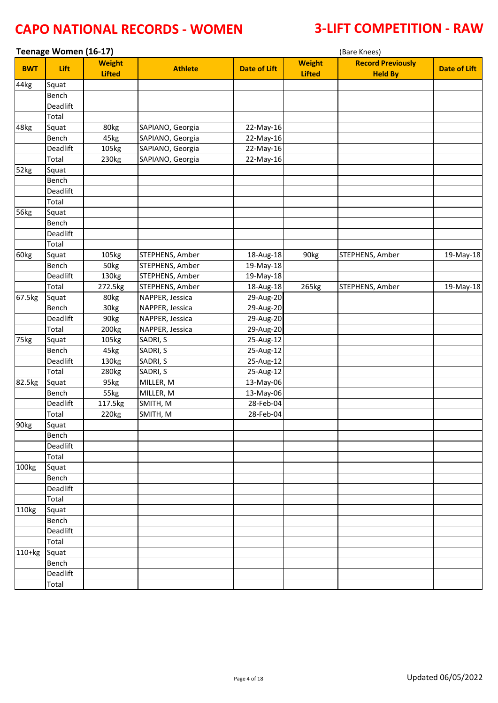|                  | Teenage Women (16-17) |                                |                  |                     |                                | (Bare Knees)                               |                     |
|------------------|-----------------------|--------------------------------|------------------|---------------------|--------------------------------|--------------------------------------------|---------------------|
| <b>BWT</b>       | Lift                  | <b>Weight</b><br><b>Lifted</b> | <b>Athlete</b>   | <b>Date of Lift</b> | <b>Weight</b><br><b>Lifted</b> | <b>Record Previously</b><br><b>Held By</b> | <b>Date of Lift</b> |
| 44kg             | Squat                 |                                |                  |                     |                                |                                            |                     |
|                  | Bench                 |                                |                  |                     |                                |                                            |                     |
|                  | Deadlift              |                                |                  |                     |                                |                                            |                     |
|                  | Total                 |                                |                  |                     |                                |                                            |                     |
| 48kg             | Squat                 | 80kg                           | SAPIANO, Georgia | 22-May-16           |                                |                                            |                     |
|                  | Bench                 | 45kg                           | SAPIANO, Georgia | 22-May-16           |                                |                                            |                     |
|                  | Deadlift              | 105kg                          | SAPIANO, Georgia | 22-May-16           |                                |                                            |                     |
|                  | Total                 | 230kg                          | SAPIANO, Georgia | 22-May-16           |                                |                                            |                     |
| 52kg             | Squat                 |                                |                  |                     |                                |                                            |                     |
|                  | Bench                 |                                |                  |                     |                                |                                            |                     |
|                  | Deadlift              |                                |                  |                     |                                |                                            |                     |
|                  | Total                 |                                |                  |                     |                                |                                            |                     |
| 56kg             | Squat                 |                                |                  |                     |                                |                                            |                     |
|                  | Bench                 |                                |                  |                     |                                |                                            |                     |
|                  | Deadlift              |                                |                  |                     |                                |                                            |                     |
|                  | Total                 |                                |                  |                     |                                |                                            |                     |
| 60kg             | Squat                 | 105kg                          | STEPHENS, Amber  | 18-Aug-18           | 90kg                           | STEPHENS, Amber                            | 19-May-18           |
|                  | Bench                 | 50kg                           | STEPHENS, Amber  | 19-May-18           |                                |                                            |                     |
|                  | Deadlift              | 130kg                          | STEPHENS, Amber  | 19-May-18           |                                |                                            |                     |
|                  | Total                 | 272.5kg                        | STEPHENS, Amber  | 18-Aug-18           | 265kg                          | STEPHENS, Amber                            | 19-May-18           |
| 67.5kg           | Squat                 | 80kg                           | NAPPER, Jessica  | 29-Aug-20           |                                |                                            |                     |
|                  | Bench                 | 30kg                           | NAPPER, Jessica  | 29-Aug-20           |                                |                                            |                     |
|                  | Deadlift              | 90kg                           | NAPPER, Jessica  | 29-Aug-20           |                                |                                            |                     |
|                  | Total                 | 200kg                          | NAPPER, Jessica  | 29-Aug-20           |                                |                                            |                     |
| 75kg             | Squat                 | 105kg                          | SADRI, S         | 25-Aug-12           |                                |                                            |                     |
|                  | Bench                 | 45kg                           | SADRI, S         | 25-Aug-12           |                                |                                            |                     |
|                  | Deadlift              | 130kg                          | SADRI, S         | 25-Aug-12           |                                |                                            |                     |
|                  | Total                 | 280kg                          | SADRI, S         | 25-Aug-12           |                                |                                            |                     |
| 82.5kg           | Squat                 | 95kg                           | MILLER, M        | 13-May-06           |                                |                                            |                     |
|                  | Bench                 | 55kg                           | MILLER, M        | 13-May-06           |                                |                                            |                     |
|                  | Deadlift              | 117.5kg                        | SMITH, M         | 28-Feb-04           |                                |                                            |                     |
|                  | Total                 | 220kg                          | SMITH, M         | 28-Feb-04           |                                |                                            |                     |
| 90 <sub>kg</sub> | Squat                 |                                |                  |                     |                                |                                            |                     |
|                  | Bench                 |                                |                  |                     |                                |                                            |                     |
|                  | Deadlift              |                                |                  |                     |                                |                                            |                     |
|                  | Total                 |                                |                  |                     |                                |                                            |                     |
| 100kg            | Squat                 |                                |                  |                     |                                |                                            |                     |
|                  | Bench                 |                                |                  |                     |                                |                                            |                     |
|                  | Deadlift              |                                |                  |                     |                                |                                            |                     |
|                  | Total                 |                                |                  |                     |                                |                                            |                     |
| 110kg            | Squat                 |                                |                  |                     |                                |                                            |                     |
|                  | Bench                 |                                |                  |                     |                                |                                            |                     |
|                  | Deadlift              |                                |                  |                     |                                |                                            |                     |
|                  | Total                 |                                |                  |                     |                                |                                            |                     |
| $110+kg$         | Squat                 |                                |                  |                     |                                |                                            |                     |
|                  | Bench                 |                                |                  |                     |                                |                                            |                     |
|                  | Deadlift              |                                |                  |                     |                                |                                            |                     |
|                  | Total                 |                                |                  |                     |                                |                                            |                     |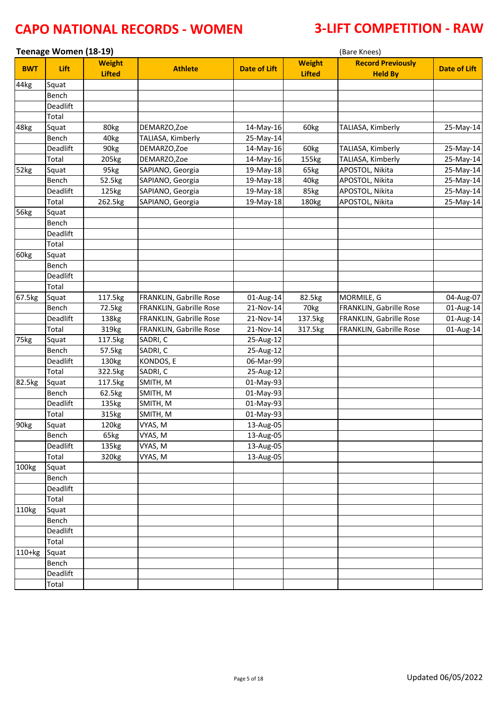| Teenage Women (18-19)<br>(Bare Knees) |          |                                |                         |                     |                                |                                            |                     |
|---------------------------------------|----------|--------------------------------|-------------------------|---------------------|--------------------------------|--------------------------------------------|---------------------|
| <b>BWT</b>                            | Lift     | <b>Weight</b><br><b>Lifted</b> | <b>Athlete</b>          | <b>Date of Lift</b> | <b>Weight</b><br><b>Lifted</b> | <b>Record Previously</b><br><b>Held By</b> | <b>Date of Lift</b> |
| 44kg                                  | Squat    |                                |                         |                     |                                |                                            |                     |
|                                       | Bench    |                                |                         |                     |                                |                                            |                     |
|                                       | Deadlift |                                |                         |                     |                                |                                            |                     |
|                                       | Total    |                                |                         |                     |                                |                                            |                     |
| 48kg                                  | Squat    | 80kg                           | DEMARZO, Zoe            | 14-May-16           | 60kg                           | TALIASA, Kimberly                          | 25-May-14           |
|                                       | Bench    | 40kg                           | TALIASA, Kimberly       | 25-May-14           |                                |                                            |                     |
|                                       | Deadlift | 90kg                           | DEMARZO, Zoe            | 14-May-16           | 60kg                           | TALIASA, Kimberly                          | 25-May-14           |
|                                       | Total    | 205kg                          | DEMARZO,Zoe             | 14-May-16           | 155kg                          | TALIASA, Kimberly                          | 25-May-14           |
| 52kg                                  | Squat    | 95kg                           | SAPIANO, Georgia        | 19-May-18           | 65kg                           | APOSTOL, Nikita                            | 25-May-14           |
|                                       | Bench    | 52.5kg                         | SAPIANO, Georgia        | 19-May-18           | 40kg                           | APOSTOL, Nikita                            | 25-May-14           |
|                                       | Deadlift | 125kg                          | SAPIANO, Georgia        | 19-May-18           | 85kg                           | APOSTOL, Nikita                            | 25-May-14           |
|                                       | Total    | 262.5kg                        | SAPIANO, Georgia        | 19-May-18           | 180kg                          | APOSTOL, Nikita                            | 25-May-14           |
| 56kg                                  | Squat    |                                |                         |                     |                                |                                            |                     |
|                                       | Bench    |                                |                         |                     |                                |                                            |                     |
|                                       | Deadlift |                                |                         |                     |                                |                                            |                     |
|                                       | Total    |                                |                         |                     |                                |                                            |                     |
| 60kg                                  | Squat    |                                |                         |                     |                                |                                            |                     |
|                                       | Bench    |                                |                         |                     |                                |                                            |                     |
|                                       | Deadlift |                                |                         |                     |                                |                                            |                     |
|                                       | Total    |                                |                         |                     |                                |                                            |                     |
| 67.5kg                                | Squat    | 117.5kg                        | FRANKLIN, Gabrille Rose | 01-Aug-14           | 82.5kg                         | MORMILE, G                                 | 04-Aug-07           |
|                                       | Bench    | 72.5kg                         | FRANKLIN, Gabrille Rose | 21-Nov-14           | 70kg                           | FRANKLIN, Gabrille Rose                    | 01-Aug-14           |
|                                       | Deadlift | 138kg                          | FRANKLIN, Gabrille Rose | 21-Nov-14           | 137.5kg                        | FRANKLIN, Gabrille Rose                    | 01-Aug-14           |
|                                       | Total    | 319kg                          | FRANKLIN, Gabrille Rose | 21-Nov-14           | 317.5kg                        | FRANKLIN, Gabrille Rose                    | 01-Aug-14           |
| 75kg                                  | Squat    | 117.5kg                        | SADRI, C                | 25-Aug-12           |                                |                                            |                     |
|                                       | Bench    | 57.5kg                         | SADRI, C                | 25-Aug-12           |                                |                                            |                     |
|                                       | Deadlift | 130kg                          | KONDOS, E               | 06-Mar-99           |                                |                                            |                     |
|                                       | Total    | 322.5kg                        | SADRI, C                | 25-Aug-12           |                                |                                            |                     |
| 82.5kg                                | Squat    | 117.5kg                        | SMITH, M                | 01-May-93           |                                |                                            |                     |
|                                       | Bench    | 62.5kg                         | SMITH, M                | 01-May-93           |                                |                                            |                     |
|                                       | Deadlift | 135kg                          | SMITH, M                | 01-May-93           |                                |                                            |                     |
|                                       | Total    | 315kg                          | SMITH, M                | 01-May-93           |                                |                                            |                     |
| 90 <sub>kg</sub>                      | Squat    | 120kg                          | VYAS, M                 | 13-Aug-05           |                                |                                            |                     |
|                                       | Bench    | 65kg                           | VYAS, M                 | 13-Aug-05           |                                |                                            |                     |
|                                       | Deadlift | 135kg                          | VYAS, M                 | 13-Aug-05           |                                |                                            |                     |
|                                       | Total    | 320kg                          | VYAS, M                 | 13-Aug-05           |                                |                                            |                     |
| 100kg                                 | Squat    |                                |                         |                     |                                |                                            |                     |
|                                       | Bench    |                                |                         |                     |                                |                                            |                     |
|                                       | Deadlift |                                |                         |                     |                                |                                            |                     |
|                                       | Total    |                                |                         |                     |                                |                                            |                     |
| 110kg                                 | Squat    |                                |                         |                     |                                |                                            |                     |
|                                       | Bench    |                                |                         |                     |                                |                                            |                     |
|                                       | Deadlift |                                |                         |                     |                                |                                            |                     |
|                                       | Total    |                                |                         |                     |                                |                                            |                     |
| $110+kg$                              | Squat    |                                |                         |                     |                                |                                            |                     |
|                                       | Bench    |                                |                         |                     |                                |                                            |                     |
|                                       | Deadlift |                                |                         |                     |                                |                                            |                     |
|                                       | Total    |                                |                         |                     |                                |                                            |                     |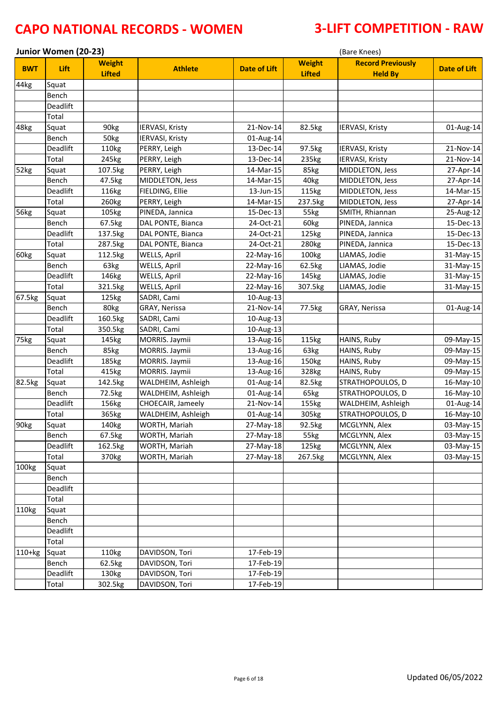|            | Junior Women (20-23)<br>(Bare Knees) |                                |                        |                     |                                |                                            |              |
|------------|--------------------------------------|--------------------------------|------------------------|---------------------|--------------------------------|--------------------------------------------|--------------|
| <b>BWT</b> | Lift                                 | <b>Weight</b><br><b>Lifted</b> | <b>Athlete</b>         | <b>Date of Lift</b> | <b>Weight</b><br><b>Lifted</b> | <b>Record Previously</b><br><b>Held By</b> | Date of Lift |
| 44kg       | Squat                                |                                |                        |                     |                                |                                            |              |
|            | Bench                                |                                |                        |                     |                                |                                            |              |
|            | Deadlift                             |                                |                        |                     |                                |                                            |              |
|            | Total                                |                                |                        |                     |                                |                                            |              |
| 48kg       | Squat                                | 90kg                           | <b>IERVASI, Kristy</b> | 21-Nov-14           | 82.5kg                         | IERVASI, Kristy                            | 01-Aug-14    |
|            | Bench                                | 50kg                           | IERVASI, Kristy        | 01-Aug-14           |                                |                                            |              |
|            | Deadlift                             | 110kg                          | PERRY, Leigh           | 13-Dec-14           | 97.5kg                         | <b>IERVASI, Kristy</b>                     | 21-Nov-14    |
|            | Total                                | 245kg                          | PERRY, Leigh           | 13-Dec-14           | 235kg                          | IERVASI, Kristy                            | 21-Nov-14    |
| 52kg       | Squat                                | 107.5kg                        | PERRY, Leigh           | 14-Mar-15           | 85kg                           | MIDDLETON, Jess                            | 27-Apr-14    |
|            | Bench                                | 47.5kg                         | MIDDLETON, Jess        | 14-Mar-15           | 40kg                           | MIDDLETON, Jess                            | 27-Apr-14    |
|            | Deadlift                             | 116kg                          | FIELDING, Ellie        | 13-Jun-15           | 115kg                          | MIDDLETON, Jess                            | 14-Mar-15    |
|            | Total                                | 260kg                          | PERRY, Leigh           | 14-Mar-15           | 237.5kg                        | MIDDLETON, Jess                            | 27-Apr-14    |
| 56kg       | Squat                                | 105kg                          | PINEDA, Jannica        | 15-Dec-13           | 55kg                           | SMITH, Rhiannan                            | 25-Aug-12    |
|            | Bench                                | 67.5kg                         | DAL PONTE, Bianca      | 24-Oct-21           | 60kg                           | PINEDA, Jannica                            | 15-Dec-13    |
|            | Deadlift                             | 137.5kg                        | DAL PONTE, Bianca      | 24-Oct-21           | 125kg                          | PINEDA, Jannica                            | 15-Dec-13    |
|            | Total                                | 287.5kg                        | DAL PONTE, Bianca      | 24-Oct-21           | 280kg                          | PINEDA, Jannica                            | 15-Dec-13    |
| 60kg       | Squat                                | 112.5kg                        | WELLS, April           | 22-May-16           | 100kg                          | LIAMAS, Jodie                              | 31-May-15    |
|            | Bench                                | 63kg                           | WELLS, April           | 22-May-16           | 62.5kg                         | LIAMAS, Jodie                              | 31-May-15    |
|            | Deadlift                             | 146kg                          | WELLS, April           | 22-May-16           | 145kg                          | LIAMAS, Jodie                              | 31-May-15    |
|            | Total                                | 321.5kg                        | WELLS, April           | 22-May-16           | 307.5kg                        | LIAMAS, Jodie                              | 31-May-15    |
| 67.5kg     | Squat                                | 125kg                          | SADRI, Cami            | 10-Aug-13           |                                |                                            |              |
|            | Bench                                | 80kg                           | GRAY, Nerissa          | 21-Nov-14           | 77.5kg                         | GRAY, Nerissa                              | 01-Aug-14    |
|            | Deadlift                             | 160.5kg                        | SADRI, Cami            | 10-Aug-13           |                                |                                            |              |
|            | Total                                | 350.5kg                        | SADRI, Cami            | 10-Aug-13           |                                |                                            |              |
| 75kg       | Squat                                | 145kg                          | MORRIS. Jaymii         | 13-Aug-16           | 115kg                          | HAINS, Ruby                                | 09-May-15    |
|            | Bench                                | 85kg                           | MORRIS. Jaymii         | 13-Aug-16           | 63kg                           | HAINS, Ruby                                | 09-May-15    |
|            | Deadlift                             | 185kg                          | MORRIS. Jaymii         | 13-Aug-16           | 150kg                          | HAINS, Ruby                                | 09-May-15    |
|            | Total                                | 415kg                          | MORRIS. Jaymii         | 13-Aug-16           | 328kg                          | HAINS, Ruby                                | 09-May-15    |
| 82.5kg     | Squat                                | 142.5kg                        | WALDHEIM, Ashleigh     | 01-Aug-14           | 82.5kg                         | STRATHOPOULOS, D                           | 16-May-10    |
|            | Bench                                | 72.5kg                         | WALDHEIM, Ashleigh     | 01-Aug-14           | 65kg                           | STRATHOPOULOS, D                           | 16-May-10    |
|            | Deadlift                             | 156kg                          | CHOECAIR, Jameely      | 21-Nov-14           | 155kg                          | WALDHEIM, Ashleigh                         | 01-Aug-14    |
|            | Total                                | 365kg                          | WALDHEIM, Ashleigh     | 01-Aug-14           | 305kg                          | STRATHOPOULOS, D                           | 16-May-10    |
| 90kg       | Squat                                | 140kg                          | WORTH, Mariah          | 27-May-18           | 92.5kg                         | MCGLYNN, Alex                              | 03-May-15    |
|            | Bench                                | 67.5kg                         | WORTH, Mariah          | 27-May-18           | 55kg                           | MCGLYNN, Alex                              | 03-May-15    |
|            | Deadlift                             | 162.5kg                        | WORTH, Mariah          | 27-May-18           | 125kg                          | MCGLYNN, Alex                              | 03-May-15    |
|            | Total                                | 370 <sub>kg</sub>              | WORTH, Mariah          | 27-May-18           | 267.5kg                        | MCGLYNN, Alex                              | 03-May-15    |
| 100kg      | Squat                                |                                |                        |                     |                                |                                            |              |
|            | Bench                                |                                |                        |                     |                                |                                            |              |
|            | Deadlift                             |                                |                        |                     |                                |                                            |              |
|            | Total                                |                                |                        |                     |                                |                                            |              |
| 110kg      | Squat                                |                                |                        |                     |                                |                                            |              |
|            | Bench                                |                                |                        |                     |                                |                                            |              |
|            | Deadlift                             |                                |                        |                     |                                |                                            |              |
|            | Total                                |                                |                        |                     |                                |                                            |              |
| $110+kg$   | Squat                                | 110kg                          | DAVIDSON, Tori         | 17-Feb-19           |                                |                                            |              |
|            | Bench                                | 62.5kg                         | DAVIDSON, Tori         | 17-Feb-19           |                                |                                            |              |
|            | Deadlift                             | 130kg                          | DAVIDSON, Tori         | 17-Feb-19           |                                |                                            |              |
|            | Total                                | 302.5kg                        | DAVIDSON, Tori         | 17-Feb-19           |                                |                                            |              |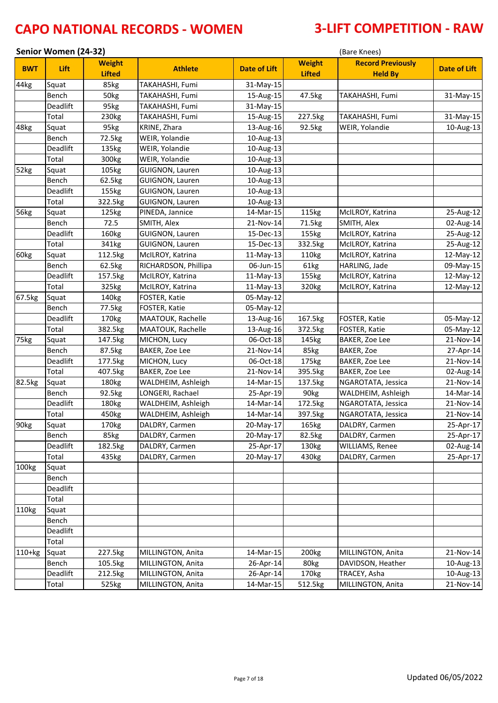|                  | Senior Women (24-32) |                                |                        |                     |                                | (Bare Knees)                               |              |  |
|------------------|----------------------|--------------------------------|------------------------|---------------------|--------------------------------|--------------------------------------------|--------------|--|
| <b>BWT</b>       | Lift                 | <b>Weight</b><br><b>Lifted</b> | <b>Athlete</b>         | <b>Date of Lift</b> | <b>Weight</b><br><b>Lifted</b> | <b>Record Previously</b><br><b>Held By</b> | Date of Lift |  |
| 44kg             | Squat                | 85kg                           | TAKAHASHI, Fumi        | 31-May-15           |                                |                                            |              |  |
|                  | Bench                | 50kg                           | TAKAHASHI, Fumi        | 15-Aug-15           | 47.5kg                         | TAKAHASHI, Fumi                            | 31-May-15    |  |
|                  | Deadlift             | 95kg                           | TAKAHASHI, Fumi        | 31-May-15           |                                |                                            |              |  |
|                  | Total                | 230kg                          | TAKAHASHI, Fumi        | 15-Aug-15           | 227.5kg                        | TAKAHASHI, Fumi                            | 31-May-15    |  |
| 48kg             | Squat                | 95kg                           | KRINE, Zhara           | 13-Aug-16           | 92.5kg                         | WEIR, Yolandie                             | 10-Aug-13    |  |
|                  | Bench                | 72.5kg                         | WEIR, Yolandie         | 10-Aug-13           |                                |                                            |              |  |
|                  | Deadlift             | 135kg                          | WEIR, Yolandie         | 10-Aug-13           |                                |                                            |              |  |
|                  | Total                | 300kg                          | WEIR, Yolandie         | 10-Aug-13           |                                |                                            |              |  |
| 52kg             | Squat                | 105kg                          | GUIGNON, Lauren        | 10-Aug-13           |                                |                                            |              |  |
|                  | Bench                | 62.5kg                         | <b>GUIGNON, Lauren</b> | 10-Aug-13           |                                |                                            |              |  |
|                  | Deadlift             | 155kg                          | <b>GUIGNON, Lauren</b> | 10-Aug-13           |                                |                                            |              |  |
|                  | Total                | 322.5kg                        | <b>GUIGNON, Lauren</b> | 10-Aug-13           |                                |                                            |              |  |
| 56kg             | Squat                | 125kg                          | PINEDA, Jannice        | 14-Mar-15           | 115kg                          | McILROY, Katrina                           | 25-Aug-12    |  |
|                  | Bench                | 72.5                           | SMITH, Alex            | 21-Nov-14           | 71.5kg                         | SMITH, Alex                                | 02-Aug-14    |  |
|                  | Deadlift             | 160kg                          | GUIGNON, Lauren        | 15-Dec-13           | 155kg                          | McILROY, Katrina                           | 25-Aug-12    |  |
|                  | Total                | 341kg                          | <b>GUIGNON, Lauren</b> | 15-Dec-13           | 332.5kg                        | McILROY, Katrina                           | 25-Aug-12    |  |
| 60kg             | Squat                | 112.5kg                        | McILROY, Katrina       | 11-May-13           | 110kg                          | McILROY, Katrina                           | 12-May-12    |  |
|                  | Bench                | 62.5kg                         | RICHARDSON, Phillipa   | 06-Jun-15           | 61kg                           | HARLING, Jade                              | 09-May-15    |  |
|                  | Deadlift             | 157.5kg                        | McILROY, Katrina       | 11-May-13           | 155kg                          | McILROY, Katrina                           | 12-May-12    |  |
|                  | Total                | 325kg                          | McILROY, Katrina       | $11-May-13$         | 320kg                          | McILROY, Katrina                           | 12-May-12    |  |
| 67.5kg           | Squat                | 140kg                          | FOSTER, Katie          | 05-May-12           |                                |                                            |              |  |
|                  | Bench                | 77.5kg                         | FOSTER, Katie          | 05-May-12           |                                |                                            |              |  |
|                  | Deadlift             | 170kg                          | MAATOUK, Rachelle      | 13-Aug-16           | 167.5kg                        | FOSTER, Katie                              | 05-May-12    |  |
|                  | Total                | 382.5kg                        | MAATOUK, Rachelle      | 13-Aug-16           | 372.5kg                        | FOSTER, Katie                              | 05-May-12    |  |
| 75kg             | Squat                | 147.5kg                        | MICHON, Lucy           | 06-Oct-18           | 145kg                          | BAKER, Zoe Lee                             | 21-Nov-14    |  |
|                  | Bench                | 87.5kg                         | BAKER, Zoe Lee         | 21-Nov-14           | 85kg                           | BAKER, Zoe                                 | 27-Apr-14    |  |
|                  | Deadlift             | 177.5kg                        | MICHON, Lucy           | 06-Oct-18           | 175kg                          | BAKER, Zoe Lee                             | 21-Nov-14    |  |
|                  | Total                | 407.5kg                        | BAKER, Zoe Lee         | 21-Nov-14           | 395.5kg                        | BAKER, Zoe Lee                             | 02-Aug-14    |  |
| 82.5kg           | Squat                | 180kg                          | WALDHEIM, Ashleigh     | 14-Mar-15           | 137.5kg                        | NGAROTATA, Jessica                         | 21-Nov-14    |  |
|                  | Bench                | 92.5kg                         | LONGERI, Rachael       | 25-Apr-19           | 90kg                           | WALDHEIM, Ashleigh                         | 14-Mar-14    |  |
|                  | Deadlift             | 180kg                          | WALDHEIM, Ashleigh     | 14-Mar-14           | 172.5kg                        | NGAROTATA, Jessica                         | 21-Nov-14    |  |
|                  | Total                | 450kg                          | WALDHEIM, Ashleigh     | 14-Mar-14           | 397.5kg                        | NGAROTATA, Jessica                         | 21-Nov-14    |  |
| 90 <sub>kg</sub> | Squat                | 170kg                          | DALDRY, Carmen         | 20-May-17           | 165kg                          | DALDRY, Carmen                             | 25-Apr-17    |  |
|                  | Bench                | 85kg                           | DALDRY, Carmen         | 20-May-17           | 82.5kg                         | DALDRY, Carmen                             | 25-Apr-17    |  |
|                  | Deadlift             | 182.5kg                        | DALDRY, Carmen         | 25-Apr-17           | 130kg                          | WILLIAMS, Renee                            | 02-Aug-14    |  |
|                  | Total                | 435kg                          | DALDRY, Carmen         | 20-May-17           | 430kg                          | DALDRY, Carmen                             | 25-Apr-17    |  |
| 100kg            | Squat                |                                |                        |                     |                                |                                            |              |  |
|                  | Bench                |                                |                        |                     |                                |                                            |              |  |
|                  | Deadlift             |                                |                        |                     |                                |                                            |              |  |
|                  | Total                |                                |                        |                     |                                |                                            |              |  |
| 110kg            | Squat                |                                |                        |                     |                                |                                            |              |  |
|                  | Bench                |                                |                        |                     |                                |                                            |              |  |
|                  | Deadlift             |                                |                        |                     |                                |                                            |              |  |
|                  | Total                |                                |                        |                     |                                |                                            |              |  |
| $110+kg$         | Squat                | 227.5kg                        | MILLINGTON, Anita      | 14-Mar-15           | 200kg                          | MILLINGTON, Anita                          | 21-Nov-14    |  |
|                  | Bench                | 105.5kg                        | MILLINGTON, Anita      | 26-Apr-14           | 80kg                           | DAVIDSON, Heather                          | 10-Aug-13    |  |
|                  | Deadlift             | 212.5kg                        | MILLINGTON, Anita      | 26-Apr-14           | 170kg                          | TRACEY, Asha                               | 10-Aug-13    |  |
|                  | Total                | 525kg                          | MILLINGTON, Anita      | 14-Mar-15           | 512.5kg                        | MILLINGTON, Anita                          | 21-Nov-14    |  |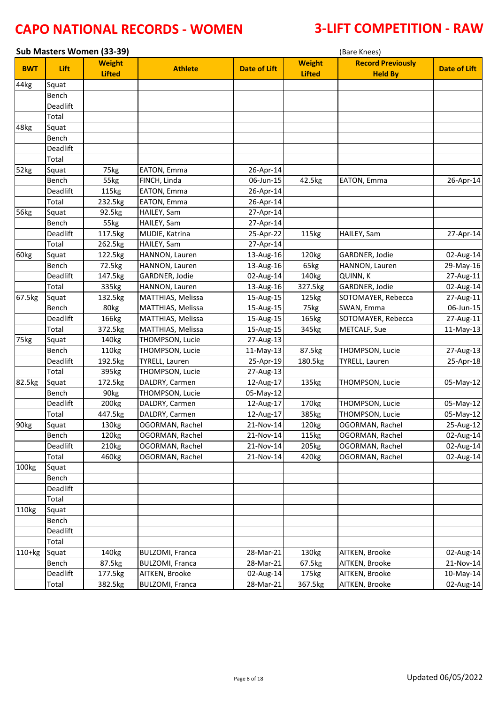| Sub Masters Women (33-39)<br>(Bare Knees) |          |                                |                        |                     |                                |                                            |                     |
|-------------------------------------------|----------|--------------------------------|------------------------|---------------------|--------------------------------|--------------------------------------------|---------------------|
| <b>BWT</b>                                | Lift     | <b>Weight</b><br><b>Lifted</b> | <b>Athlete</b>         | <b>Date of Lift</b> | <b>Weight</b><br><b>Lifted</b> | <b>Record Previously</b><br><b>Held By</b> | <b>Date of Lift</b> |
| 44kg                                      | Squat    |                                |                        |                     |                                |                                            |                     |
|                                           | Bench    |                                |                        |                     |                                |                                            |                     |
|                                           | Deadlift |                                |                        |                     |                                |                                            |                     |
|                                           | Total    |                                |                        |                     |                                |                                            |                     |
| 48kg                                      | Squat    |                                |                        |                     |                                |                                            |                     |
|                                           | Bench    |                                |                        |                     |                                |                                            |                     |
|                                           | Deadlift |                                |                        |                     |                                |                                            |                     |
|                                           | Total    |                                |                        |                     |                                |                                            |                     |
| 52kg                                      | Squat    | 75kg                           | EATON, Emma            | 26-Apr-14           |                                |                                            |                     |
|                                           | Bench    | 55kg                           | FINCH, Linda           | 06-Jun-15           | 42.5kg                         | EATON, Emma                                | 26-Apr-14           |
|                                           | Deadlift | 115kg                          | EATON, Emma            | 26-Apr-14           |                                |                                            |                     |
|                                           | Total    | 232.5kg                        | EATON, Emma            | 26-Apr-14           |                                |                                            |                     |
| 56kg                                      | Squat    | 92.5kg                         | HAILEY, Sam            | 27-Apr-14           |                                |                                            |                     |
|                                           | Bench    | 55kg                           | HAILEY, Sam            | 27-Apr-14           |                                |                                            |                     |
|                                           | Deadlift | 117.5kg                        | MUDIE, Katrina         | 25-Apr-22           | 115kg                          | HAILEY, Sam                                | 27-Apr-14           |
|                                           | Total    | 262.5kg                        | HAILEY, Sam            | 27-Apr-14           |                                |                                            |                     |
| 60kg                                      | Squat    | 122.5kg                        | HANNON, Lauren         | 13-Aug-16           | 120 <sub>kg</sub>              | GARDNER, Jodie                             | 02-Aug-14           |
|                                           | Bench    | 72.5kg                         | HANNON, Lauren         | 13-Aug-16           | 65kg                           | HANNON, Lauren                             | 29-May-16           |
|                                           | Deadlift | 147.5kg                        | GARDNER, Jodie         | 02-Aug-14           | 140kg                          | QUINN, K                                   | 27-Aug-11           |
|                                           | Total    | 335kg                          | HANNON, Lauren         | 13-Aug-16           | 327.5kg                        | GARDNER, Jodie                             | 02-Aug-14           |
| 67.5kg                                    | Squat    | 132.5kg                        | MATTHIAS, Melissa      | 15-Aug-15           | 125kg                          | SOTOMAYER, Rebecca                         | 27-Aug-11           |
|                                           | Bench    | 80kg                           | MATTHIAS, Melissa      | 15-Aug-15           | 75kg                           | SWAN, Emma                                 | 06-Jun-15           |
|                                           | Deadlift | 166kg                          | MATTHIAS, Melissa      | 15-Aug-15           | 165kg                          | SOTOMAYER, Rebecca                         | 27-Aug-11           |
|                                           | Total    | 372.5kg                        | MATTHIAS, Melissa      | 15-Aug-15           | 345kg                          | <b>METCALF, Sue</b>                        | 11-May-13           |
| 75kg                                      | Squat    | 140kg                          | THOMPSON, Lucie        | 27-Aug-13           |                                |                                            |                     |
|                                           | Bench    | 110kg                          | THOMPSON, Lucie        | 11-May-13           | 87.5kg                         | THOMPSON, Lucie                            | 27-Aug-13           |
|                                           | Deadlift | 192.5kg                        | <b>TYRELL, Lauren</b>  | 25-Apr-19           | 180.5kg                        | <b>TYRELL, Lauren</b>                      | 25-Apr-18           |
|                                           | Total    | 395kg                          | THOMPSON, Lucie        | 27-Aug-13           |                                |                                            |                     |
| 82.5kg                                    | Squat    | 172.5kg                        | DALDRY, Carmen         | 12-Aug-17           | 135kg                          | THOMPSON, Lucie                            | 05-May-12           |
|                                           | Bench    | 90kg                           | THOMPSON, Lucie        | 05-May-12           |                                |                                            |                     |
|                                           | Deadlift | 200kg                          | DALDRY, Carmen         | 12-Aug-17           | 170kg                          | THOMPSON, Lucie                            | 05-May-12           |
|                                           | Total    | 447.5kg                        | DALDRY, Carmen         | 12-Aug-17           | 385kg                          | THOMPSON, Lucie                            | 05-May-12           |
| 90 <sub>kg</sub>                          | Squat    | 130kg                          | OGORMAN, Rachel        | 21-Nov-14           | 120kg                          | OGORMAN, Rachel                            | 25-Aug-12           |
|                                           | Bench    | 120 <sub>kg</sub>              | OGORMAN, Rachel        | 21-Nov-14           | 115kg                          | OGORMAN, Rachel                            | 02-Aug-14           |
|                                           | Deadlift | 210kg                          | OGORMAN, Rachel        | 21-Nov-14           | 205kg                          | OGORMAN, Rachel                            | 02-Aug-14           |
|                                           | Total    | 460kg                          | OGORMAN, Rachel        | 21-Nov-14           | 420kg                          | OGORMAN, Rachel                            | 02-Aug-14           |
| 100kg                                     | Squat    |                                |                        |                     |                                |                                            |                     |
|                                           | Bench    |                                |                        |                     |                                |                                            |                     |
|                                           | Deadlift |                                |                        |                     |                                |                                            |                     |
|                                           | Total    |                                |                        |                     |                                |                                            |                     |
| 110kg                                     | Squat    |                                |                        |                     |                                |                                            |                     |
|                                           | Bench    |                                |                        |                     |                                |                                            |                     |
|                                           | Deadlift |                                |                        |                     |                                |                                            |                     |
|                                           | Total    |                                |                        |                     |                                |                                            |                     |
| $110+kg$                                  | Squat    | 140kg                          | <b>BULZOMI, Franca</b> | 28-Mar-21           | 130kg                          | AITKEN, Brooke                             | 02-Aug-14           |
|                                           | Bench    | 87.5kg                         | <b>BULZOMI, Franca</b> | 28-Mar-21           | 67.5kg                         | AITKEN, Brooke                             | 21-Nov-14           |
|                                           | Deadlift | 177.5kg                        | AITKEN, Brooke         | 02-Aug-14           | 175kg                          | AITKEN, Brooke                             | 10-May-14           |
|                                           | Total    | 382.5kg                        | <b>BULZOMI, Franca</b> | 28-Mar-21           | 367.5kg                        | AITKEN, Brooke                             | 02-Aug-14           |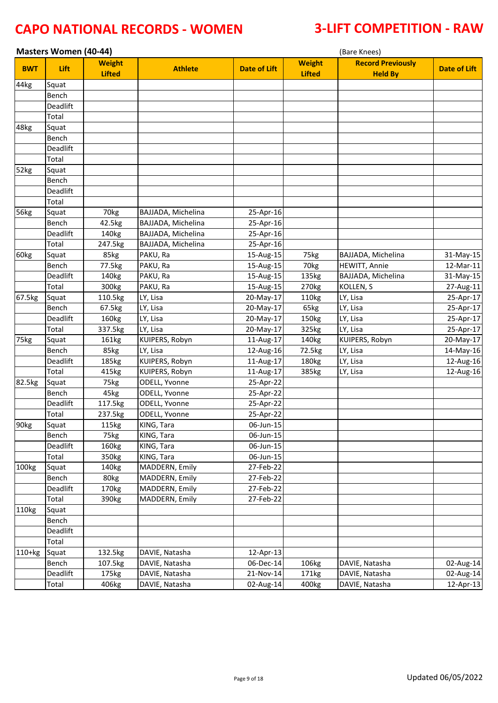|                  | <b>Masters Women (40-44)</b> |                                |                    |                     | (Bare Knees)                   |                                            |                     |  |  |
|------------------|------------------------------|--------------------------------|--------------------|---------------------|--------------------------------|--------------------------------------------|---------------------|--|--|
| <b>BWT</b>       | Lift                         | <b>Weight</b><br><b>Lifted</b> | <b>Athlete</b>     | <b>Date of Lift</b> | <b>Weight</b><br><b>Lifted</b> | <b>Record Previously</b><br><b>Held By</b> | <b>Date of Lift</b> |  |  |
| 44kg             | Squat                        |                                |                    |                     |                                |                                            |                     |  |  |
|                  | Bench                        |                                |                    |                     |                                |                                            |                     |  |  |
|                  | Deadlift                     |                                |                    |                     |                                |                                            |                     |  |  |
|                  | Total                        |                                |                    |                     |                                |                                            |                     |  |  |
| 48kg             | Squat                        |                                |                    |                     |                                |                                            |                     |  |  |
|                  | Bench                        |                                |                    |                     |                                |                                            |                     |  |  |
|                  | Deadlift                     |                                |                    |                     |                                |                                            |                     |  |  |
|                  | Total                        |                                |                    |                     |                                |                                            |                     |  |  |
| 52kg             | Squat                        |                                |                    |                     |                                |                                            |                     |  |  |
|                  | Bench                        |                                |                    |                     |                                |                                            |                     |  |  |
|                  | Deadlift                     |                                |                    |                     |                                |                                            |                     |  |  |
|                  | Total                        |                                |                    |                     |                                |                                            |                     |  |  |
| 56kg             | Squat                        | 70kg                           | BAJJADA, Michelina | 25-Apr-16           |                                |                                            |                     |  |  |
|                  | Bench                        | 42.5kg                         | BAJJADA, Michelina | 25-Apr-16           |                                |                                            |                     |  |  |
|                  | Deadlift                     | 140kg                          | BAJJADA, Michelina | 25-Apr-16           |                                |                                            |                     |  |  |
|                  | Total                        | 247.5kg                        | BAJJADA, Michelina | 25-Apr-16           |                                |                                            |                     |  |  |
| 60kg             | Squat                        | 85kg                           | PAKU, Ra           | 15-Aug-15           | 75kg                           | BAJJADA, Michelina                         | 31-May-15           |  |  |
|                  | Bench                        | 77.5kg                         | PAKU, Ra           | 15-Aug-15           | 70kg                           | <b>HEWITT, Annie</b>                       | 12-Mar-11           |  |  |
|                  | Deadlift                     | 140kg                          | PAKU, Ra           | 15-Aug-15           | 135kg                          | BAJJADA, Michelina                         | 31-May-15           |  |  |
|                  | Total                        | 300kg                          | PAKU, Ra           | 15-Aug-15           | 270kg                          | KOLLEN, S                                  | 27-Aug-11           |  |  |
| 67.5kg           | Squat                        | 110.5kg                        | LY, Lisa           | 20-May-17           | 110kg                          | LY, Lisa                                   | 25-Apr-17           |  |  |
|                  | Bench                        | 67.5kg                         | LY, Lisa           | 20-May-17           | 65kg                           | LY, Lisa                                   | 25-Apr-17           |  |  |
|                  | Deadlift                     | 160kg                          | LY, Lisa           | 20-May-17           | 150kg                          | LY, Lisa                                   | 25-Apr-17           |  |  |
|                  | Total                        | 337.5kg                        | LY, Lisa           | 20-May-17           | 325kg                          | LY, Lisa                                   | 25-Apr-17           |  |  |
| 75kg             | Squat                        | 161kg                          | KUIPERS, Robyn     | 11-Aug-17           | 140kg                          | KUIPERS, Robyn                             | 20-May-17           |  |  |
|                  | Bench                        | 85kg                           | LY, Lisa           | 12-Aug-16           | 72.5kg                         | LY, Lisa                                   | 14-May-16           |  |  |
|                  | Deadlift                     | 185kg                          | KUIPERS, Robyn     | 11-Aug-17           | 180kg                          | LY, Lisa                                   | 12-Aug-16           |  |  |
|                  | Total                        | 415kg                          | KUIPERS, Robyn     | 11-Aug-17           | 385kg                          | LY, Lisa                                   | 12-Aug-16           |  |  |
| 82.5kg           | Squat                        | 75kg                           | ODELL, Yvonne      | 25-Apr-22           |                                |                                            |                     |  |  |
|                  | Bench                        | 45kg                           | ODELL, Yvonne      | 25-Apr-22           |                                |                                            |                     |  |  |
|                  | Deadlift                     | 117.5kg                        | ODELL, Yvonne      | 25-Apr-22           |                                |                                            |                     |  |  |
|                  | Total                        | 237.5kg                        | ODELL, Yvonne      | 25-Apr-22           |                                |                                            |                     |  |  |
| 90 <sub>kg</sub> | Squat                        | 115kg                          | KING, Tara         | 06-Jun-15           |                                |                                            |                     |  |  |
|                  | Bench                        | 75kg                           | KING, Tara         | 06-Jun-15           |                                |                                            |                     |  |  |
|                  | Deadlift                     | 160kg                          | KING, Tara         | 06-Jun-15           |                                |                                            |                     |  |  |
|                  | Total                        | 350kg                          | KING, Tara         | 06-Jun-15           |                                |                                            |                     |  |  |
| 100kg            | Squat                        | 140kg                          | MADDERN, Emily     | 27-Feb-22           |                                |                                            |                     |  |  |
|                  | Bench                        | 80kg                           | MADDERN, Emily     | 27-Feb-22           |                                |                                            |                     |  |  |
|                  | Deadlift                     | 170kg                          | MADDERN, Emily     | 27-Feb-22           |                                |                                            |                     |  |  |
|                  | Total                        | 390kg                          | MADDERN, Emily     | 27-Feb-22           |                                |                                            |                     |  |  |
| 110kg            | Squat                        |                                |                    |                     |                                |                                            |                     |  |  |
|                  | Bench                        |                                |                    |                     |                                |                                            |                     |  |  |
|                  | Deadlift                     |                                |                    |                     |                                |                                            |                     |  |  |
|                  | Total                        |                                |                    |                     |                                |                                            |                     |  |  |
| $110+kg$         | Squat                        | 132.5kg                        | DAVIE, Natasha     | 12-Apr-13           |                                |                                            |                     |  |  |
|                  | Bench                        | 107.5kg                        | DAVIE, Natasha     | 06-Dec-14           | 106kg                          | DAVIE, Natasha                             | 02-Aug-14           |  |  |
|                  | Deadlift                     | 175kg                          | DAVIE, Natasha     | 21-Nov-14           | 171kg                          | DAVIE, Natasha                             | 02-Aug-14           |  |  |
|                  | Total                        | 406kg                          | DAVIE, Natasha     | 02-Aug-14           | 400kg                          | DAVIE, Natasha                             | 12-Apr-13           |  |  |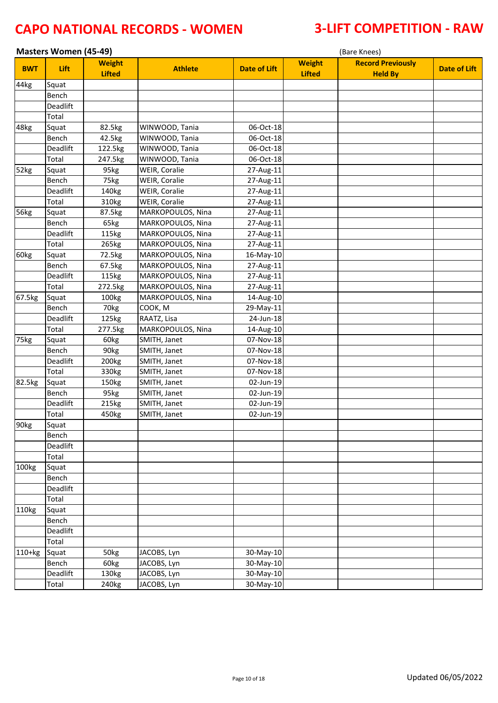| <b>Masters Women (45-49)</b> |              |                                |                   |                     |                                | (Bare Knees)                               |                     |  |  |
|------------------------------|--------------|--------------------------------|-------------------|---------------------|--------------------------------|--------------------------------------------|---------------------|--|--|
| <b>BWT</b>                   | Lift         | <b>Weight</b><br><b>Lifted</b> | <b>Athlete</b>    | <b>Date of Lift</b> | <b>Weight</b><br><b>Lifted</b> | <b>Record Previously</b><br><b>Held By</b> | <b>Date of Lift</b> |  |  |
| 44kg                         | Squat        |                                |                   |                     |                                |                                            |                     |  |  |
|                              | <b>Bench</b> |                                |                   |                     |                                |                                            |                     |  |  |
|                              | Deadlift     |                                |                   |                     |                                |                                            |                     |  |  |
|                              | Total        |                                |                   |                     |                                |                                            |                     |  |  |
| 48kg                         | Squat        | 82.5kg                         | WINWOOD, Tania    | 06-Oct-18           |                                |                                            |                     |  |  |
|                              | Bench        | 42.5kg                         | WINWOOD, Tania    | 06-Oct-18           |                                |                                            |                     |  |  |
|                              | Deadlift     | 122.5kg                        | WINWOOD, Tania    | 06-Oct-18           |                                |                                            |                     |  |  |
|                              | Total        | 247.5kg                        | WINWOOD, Tania    | 06-Oct-18           |                                |                                            |                     |  |  |
| 52kg                         | Squat        | 95kg                           | WEIR, Coralie     | 27-Aug-11           |                                |                                            |                     |  |  |
|                              | Bench        | 75kg                           | WEIR, Coralie     | 27-Aug-11           |                                |                                            |                     |  |  |
|                              | Deadlift     | 140kg                          | WEIR, Coralie     | 27-Aug-11           |                                |                                            |                     |  |  |
|                              | Total        | 310kg                          | WEIR, Coralie     | 27-Aug-11           |                                |                                            |                     |  |  |
| 56kg                         | Squat        | 87.5kg                         | MARKOPOULOS, Nina | 27-Aug-11           |                                |                                            |                     |  |  |
|                              | Bench        | 65kg                           | MARKOPOULOS, Nina | 27-Aug-11           |                                |                                            |                     |  |  |
|                              | Deadlift     | 115kg                          | MARKOPOULOS, Nina | 27-Aug-11           |                                |                                            |                     |  |  |
|                              | Total        | 265kg                          | MARKOPOULOS, Nina | 27-Aug-11           |                                |                                            |                     |  |  |
| 60kg                         | Squat        | 72.5kg                         | MARKOPOULOS, Nina | 16-May-10           |                                |                                            |                     |  |  |
|                              | Bench        | 67.5kg                         | MARKOPOULOS, Nina | 27-Aug-11           |                                |                                            |                     |  |  |
|                              | Deadlift     | 115kg                          | MARKOPOULOS, Nina | 27-Aug-11           |                                |                                            |                     |  |  |
|                              | Total        | 272.5kg                        | MARKOPOULOS, Nina | 27-Aug-11           |                                |                                            |                     |  |  |
| 67.5kg                       | Squat        | 100kg                          | MARKOPOULOS, Nina | 14-Aug-10           |                                |                                            |                     |  |  |
|                              | Bench        | 70kg                           | COOK, M           | 29-May-11           |                                |                                            |                     |  |  |
|                              | Deadlift     | 125kg                          | RAATZ, Lisa       | 24-Jun-18           |                                |                                            |                     |  |  |
|                              | Total        | 277.5kg                        | MARKOPOULOS, Nina | 14-Aug-10           |                                |                                            |                     |  |  |
| 75kg                         | Squat        | 60kg                           | SMITH, Janet      | 07-Nov-18           |                                |                                            |                     |  |  |
|                              | Bench        | 90kg                           | SMITH, Janet      | 07-Nov-18           |                                |                                            |                     |  |  |
|                              | Deadlift     | 200kg                          | SMITH, Janet      | 07-Nov-18           |                                |                                            |                     |  |  |
|                              | Total        | 330kg                          | SMITH, Janet      | 07-Nov-18           |                                |                                            |                     |  |  |
| 82.5kg                       | Squat        | 150kg                          | SMITH, Janet      | 02-Jun-19           |                                |                                            |                     |  |  |
|                              | Bench        | 95kg                           | SMITH, Janet      | 02-Jun-19           |                                |                                            |                     |  |  |
|                              | Deadlift     | 215kg                          | SMITH, Janet      | 02-Jun-19           |                                |                                            |                     |  |  |
|                              | Total        | 450kg                          | SMITH, Janet      | 02-Jun-19           |                                |                                            |                     |  |  |
| 90kg                         | Squat        |                                |                   |                     |                                |                                            |                     |  |  |
|                              | Bench        |                                |                   |                     |                                |                                            |                     |  |  |
|                              | Deadlift     |                                |                   |                     |                                |                                            |                     |  |  |
|                              | Total        |                                |                   |                     |                                |                                            |                     |  |  |
| 100kg                        | Squat        |                                |                   |                     |                                |                                            |                     |  |  |
|                              | Bench        |                                |                   |                     |                                |                                            |                     |  |  |
|                              | Deadlift     |                                |                   |                     |                                |                                            |                     |  |  |
|                              | Total        |                                |                   |                     |                                |                                            |                     |  |  |
| 110kg                        | Squat        |                                |                   |                     |                                |                                            |                     |  |  |
|                              | Bench        |                                |                   |                     |                                |                                            |                     |  |  |
|                              | Deadlift     |                                |                   |                     |                                |                                            |                     |  |  |
|                              | Total        |                                |                   |                     |                                |                                            |                     |  |  |
| $110+kg$                     | Squat        | 50kg                           | JACOBS, Lyn       | 30-May-10           |                                |                                            |                     |  |  |
|                              | Bench        | 60kg                           | JACOBS, Lyn       | 30-May-10           |                                |                                            |                     |  |  |
|                              | Deadlift     | 130kg                          | JACOBS, Lyn       | 30-May-10           |                                |                                            |                     |  |  |
|                              | Total        | 240 <sub>kg</sub>              | JACOBS, Lyn       | 30-May-10           |                                |                                            |                     |  |  |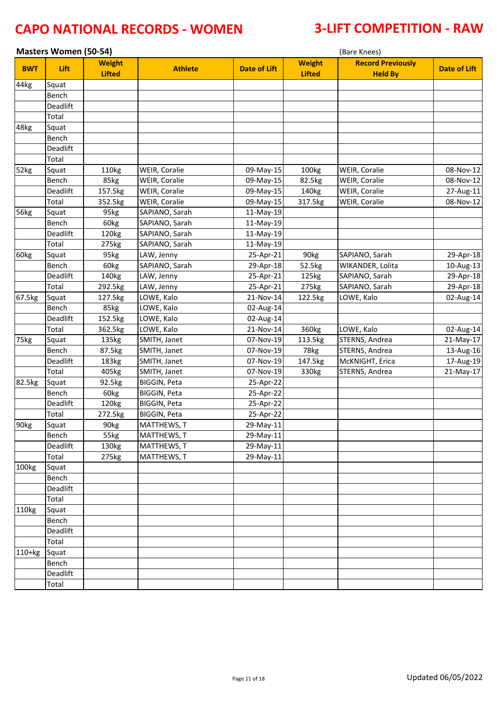| <b>Masters Women (50-54)</b> |          |                                |                |                     | (Bare Knees)                   |                                            |                     |  |
|------------------------------|----------|--------------------------------|----------------|---------------------|--------------------------------|--------------------------------------------|---------------------|--|
| <b>BWT</b>                   | Lift     | <b>Weight</b><br><b>Lifted</b> | <b>Athlete</b> | <b>Date of Lift</b> | <b>Weight</b><br><b>Lifted</b> | <b>Record Previously</b><br><b>Held By</b> | <b>Date of Lift</b> |  |
| 44kg                         | Squat    |                                |                |                     |                                |                                            |                     |  |
|                              | Bench    |                                |                |                     |                                |                                            |                     |  |
|                              | Deadlift |                                |                |                     |                                |                                            |                     |  |
|                              | Total    |                                |                |                     |                                |                                            |                     |  |
| 48kg                         | Squat    |                                |                |                     |                                |                                            |                     |  |
|                              | Bench    |                                |                |                     |                                |                                            |                     |  |
|                              | Deadlift |                                |                |                     |                                |                                            |                     |  |
|                              | Total    |                                |                |                     |                                |                                            |                     |  |
| 52kg                         | Squat    | 110kg                          | WEIR, Coralie  | 09-May-15           | 100kg                          | WEIR, Coralie                              | 08-Nov-12           |  |
|                              | Bench    | 85kg                           | WEIR, Coralie  | 09-May-15           | 82.5kg                         | WEIR, Coralie                              | 08-Nov-12           |  |
|                              | Deadlift | 157.5kg                        | WEIR, Coralie  | 09-May-15           | 140kg                          | WEIR, Coralie                              | 27-Aug-11           |  |
|                              | Total    | 352.5kg                        | WEIR, Coralie  | 09-May-15           | 317.5kg                        | WEIR, Coralie                              | 08-Nov-12           |  |
| 56kg                         | Squat    | 95kg                           | SAPIANO, Sarah | 11-May-19           |                                |                                            |                     |  |
|                              | Bench    | 60kg                           | SAPIANO, Sarah | 11-May-19           |                                |                                            |                     |  |
|                              | Deadlift | 120kg                          | SAPIANO, Sarah | 11-May-19           |                                |                                            |                     |  |
|                              | Total    | 275kg                          | SAPIANO, Sarah | 11-May-19           |                                |                                            |                     |  |
| 60kg                         | Squat    | 95kg                           | LAW, Jenny     | 25-Apr-21           | 90kg                           | SAPIANO, Sarah                             | 29-Apr-18           |  |
|                              | Bench    | 60kg                           | SAPIANO, Sarah | 29-Apr-18           | 52.5kg                         | WIKANDER, Lolita                           | 10-Aug-13           |  |
|                              | Deadlift | 140kg                          | LAW, Jenny     | 25-Apr-21           | 125kg                          | SAPIANO, Sarah                             | 29-Apr-18           |  |
|                              | Total    | 292.5kg                        | LAW, Jenny     | 25-Apr-21           | 275kg                          | SAPIANO, Sarah                             | 29-Apr-18           |  |
| 67.5kg                       | Squat    | 127.5kg                        | LOWE, Kalo     | 21-Nov-14           | 122.5kg                        | LOWE, Kalo                                 | 02-Aug-14           |  |
|                              | Bench    | 85kg                           | LOWE, Kalo     | 02-Aug-14           |                                |                                            |                     |  |
|                              | Deadlift | 152.5kg                        | LOWE, Kalo     | 02-Aug-14           |                                |                                            |                     |  |
|                              | Total    | 362.5kg                        | LOWE, Kalo     | 21-Nov-14           | 360kg                          | LOWE, Kalo                                 | 02-Aug-14           |  |
| 75kg                         | Squat    | 135kg                          | SMITH, Janet   | 07-Nov-19           | 113.5kg                        | STERNS, Andrea                             | 21-May-17           |  |
|                              | Bench    | 87.5kg                         | SMITH, Janet   | 07-Nov-19           | 78kg                           | STERNS, Andrea                             | 13-Aug-16           |  |
|                              | Deadlift | 183kg                          | SMITH, Janet   | 07-Nov-19           | 147.5kg                        | McKNIGHT, Erica                            | 17-Aug-19           |  |
|                              | Total    | 405kg                          | SMITH, Janet   | 07-Nov-19           | 330kg                          | STERNS, Andrea                             | 21-May-17           |  |
| 82.5kg                       | Squat    | 92.5kg                         | BIGGIN, Peta   | 25-Apr-22           |                                |                                            |                     |  |
|                              | Bench    | 60kg                           | BIGGIN, Peta   | 25-Apr-22           |                                |                                            |                     |  |
|                              | Deadlift | 120kg                          | BIGGIN, Peta   | 25-Apr-22           |                                |                                            |                     |  |
|                              | Total    | 272.5kg                        | BIGGIN, Peta   | 25-Apr-22           |                                |                                            |                     |  |
| 90kg                         | Squat    | 90 <sub>kg</sub>               | MATTHEWS, T    | 29-May-11           |                                |                                            |                     |  |
|                              | Bench    | 55kg                           | MATTHEWS, T    | 29-May-11           |                                |                                            |                     |  |
|                              | Deadlift | 130kg                          | MATTHEWS, T    | 29-May-11           |                                |                                            |                     |  |
|                              | Total    | 275kg                          | MATTHEWS, T    | 29-May-11           |                                |                                            |                     |  |
| 100kg                        | Squat    |                                |                |                     |                                |                                            |                     |  |
|                              | Bench    |                                |                |                     |                                |                                            |                     |  |
|                              | Deadlift |                                |                |                     |                                |                                            |                     |  |
|                              | Total    |                                |                |                     |                                |                                            |                     |  |
| 110kg                        | Squat    |                                |                |                     |                                |                                            |                     |  |
|                              | Bench    |                                |                |                     |                                |                                            |                     |  |
|                              | Deadlift |                                |                |                     |                                |                                            |                     |  |
|                              | Total    |                                |                |                     |                                |                                            |                     |  |
| $110+kg$                     | Squat    |                                |                |                     |                                |                                            |                     |  |
|                              | Bench    |                                |                |                     |                                |                                            |                     |  |
|                              | Deadlift |                                |                |                     |                                |                                            |                     |  |
|                              | Total    |                                |                |                     |                                |                                            |                     |  |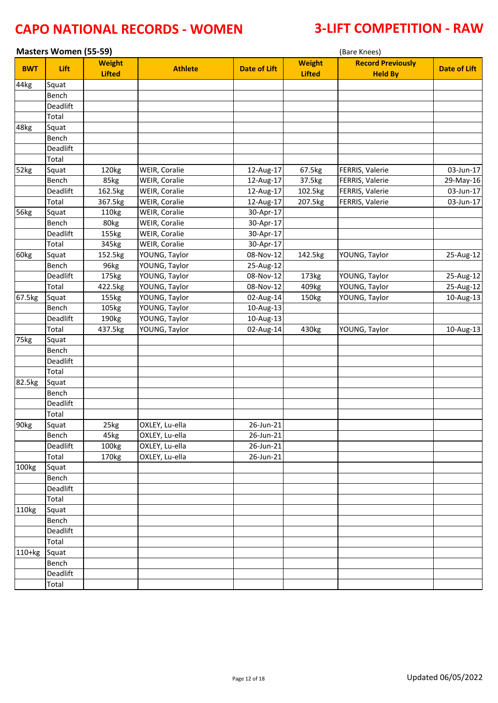| <b>Masters Women (55-59)</b> |          |                                |                      |                     |                                | (Bare Knees)                               |                     |
|------------------------------|----------|--------------------------------|----------------------|---------------------|--------------------------------|--------------------------------------------|---------------------|
| <b>BWT</b>                   | Lift     | <b>Weight</b><br><b>Lifted</b> | <b>Athlete</b>       | <b>Date of Lift</b> | <b>Weight</b><br><b>Lifted</b> | <b>Record Previously</b><br><b>Held By</b> | <b>Date of Lift</b> |
| 44kg                         | Squat    |                                |                      |                     |                                |                                            |                     |
|                              | Bench    |                                |                      |                     |                                |                                            |                     |
|                              | Deadlift |                                |                      |                     |                                |                                            |                     |
|                              | Total    |                                |                      |                     |                                |                                            |                     |
| 48kg                         | Squat    |                                |                      |                     |                                |                                            |                     |
|                              | Bench    |                                |                      |                     |                                |                                            |                     |
|                              | Deadlift |                                |                      |                     |                                |                                            |                     |
|                              | Total    |                                |                      |                     |                                |                                            |                     |
| 52kg                         | Squat    | 120kg                          | WEIR, Coralie        | 12-Aug-17           | 67.5kg                         | FERRIS, Valerie                            | 03-Jun-17           |
|                              | Bench    | 85kg                           | WEIR, Coralie        | 12-Aug-17           | 37.5kg                         | FERRIS, Valerie                            | 29-May-16           |
|                              | Deadlift | 162.5kg                        | WEIR, Coralie        | 12-Aug-17           | 102.5kg                        | FERRIS, Valerie                            | $03$ -Jun-17        |
|                              | Total    | 367.5kg                        | WEIR, Coralie        | 12-Aug-17           | 207.5kg                        | FERRIS, Valerie                            | 03-Jun-17           |
| 56kg                         | Squat    | 110kg                          | <b>WEIR, Coralie</b> | 30-Apr-17           |                                |                                            |                     |
|                              | Bench    | 80kg                           | WEIR, Coralie        | 30-Apr-17           |                                |                                            |                     |
|                              | Deadlift | 155kg                          | WEIR, Coralie        | 30-Apr-17           |                                |                                            |                     |
|                              | Total    | 345kg                          | WEIR, Coralie        | 30-Apr-17           |                                |                                            |                     |
| 60kg                         | Squat    | 152.5kg                        | YOUNG, Taylor        | 08-Nov-12           | 142.5kg                        | YOUNG, Taylor                              | 25-Aug-12           |
|                              | Bench    | 96kg                           | YOUNG, Taylor        | 25-Aug-12           |                                |                                            |                     |
|                              | Deadlift | 175kg                          | YOUNG, Taylor        | 08-Nov-12           | 173kg                          | YOUNG, Taylor                              | 25-Aug-12           |
|                              | Total    | 422.5kg                        | YOUNG, Taylor        | 08-Nov-12           | 409kg                          | YOUNG, Taylor                              | 25-Aug-12           |
| 67.5kg                       | Squat    | 155kg                          | YOUNG, Taylor        | 02-Aug-14           | 150kg                          | YOUNG, Taylor                              | $10$ -Aug-13        |
|                              | Bench    | 105kg                          | YOUNG, Taylor        | 10-Aug-13           |                                |                                            |                     |
|                              | Deadlift | 190kg                          | YOUNG, Taylor        | 10-Aug-13           |                                |                                            |                     |
|                              | Total    | 437.5kg                        | YOUNG, Taylor        | 02-Aug-14           | 430kg                          | YOUNG, Taylor                              | $10$ -Aug-13        |
| 75kg                         | Squat    |                                |                      |                     |                                |                                            |                     |
|                              | Bench    |                                |                      |                     |                                |                                            |                     |
|                              | Deadlift |                                |                      |                     |                                |                                            |                     |
|                              | Total    |                                |                      |                     |                                |                                            |                     |
| 82.5kg                       | Squat    |                                |                      |                     |                                |                                            |                     |
|                              | Bench    |                                |                      |                     |                                |                                            |                     |
|                              | Deadlift |                                |                      |                     |                                |                                            |                     |
|                              | Total    |                                |                      |                     |                                |                                            |                     |
| 90 <sub>kg</sub>             | Squat    | 25kg                           | OXLEY, Lu-ella       | 26-Jun-21           |                                |                                            |                     |
|                              | Bench    | 45kg                           | OXLEY, Lu-ella       | 26-Jun-21           |                                |                                            |                     |
|                              | Deadlift | 100kg                          | OXLEY, Lu-ella       | 26-Jun-21           |                                |                                            |                     |
|                              | Total    | 170 <sub>kg</sub>              | OXLEY, Lu-ella       | 26-Jun-21           |                                |                                            |                     |
| 100kg                        | Squat    |                                |                      |                     |                                |                                            |                     |
|                              | Bench    |                                |                      |                     |                                |                                            |                     |
|                              | Deadlift |                                |                      |                     |                                |                                            |                     |
|                              | Total    |                                |                      |                     |                                |                                            |                     |
| 110kg                        | Squat    |                                |                      |                     |                                |                                            |                     |
|                              | Bench    |                                |                      |                     |                                |                                            |                     |
|                              | Deadlift |                                |                      |                     |                                |                                            |                     |
|                              | Total    |                                |                      |                     |                                |                                            |                     |
| $110+kg$                     | Squat    |                                |                      |                     |                                |                                            |                     |
|                              | Bench    |                                |                      |                     |                                |                                            |                     |
|                              | Deadlift |                                |                      |                     |                                |                                            |                     |
|                              | Total    |                                |                      |                     |                                |                                            |                     |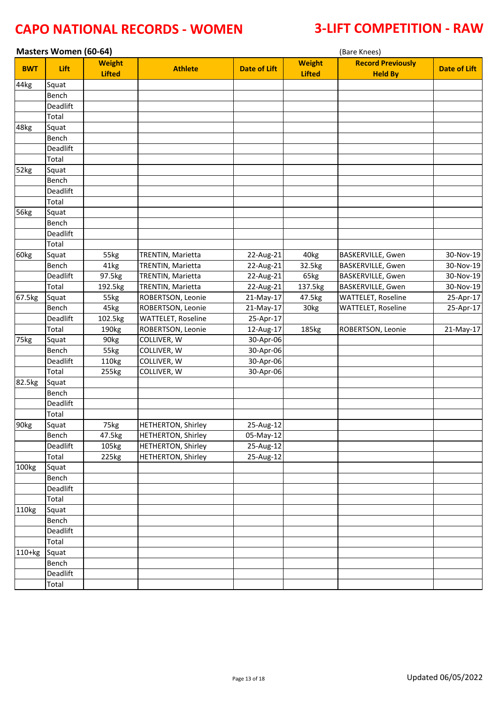| <b>Masters Women (60-64)</b> |          |                                |                           |                     |                                | (Bare Knees)                               |                     |  |  |  |
|------------------------------|----------|--------------------------------|---------------------------|---------------------|--------------------------------|--------------------------------------------|---------------------|--|--|--|
| <b>BWT</b>                   | Lift     | <b>Weight</b><br><b>Lifted</b> | <b>Athlete</b>            | <b>Date of Lift</b> | <b>Weight</b><br><b>Lifted</b> | <b>Record Previously</b><br><b>Held By</b> | <b>Date of Lift</b> |  |  |  |
| 44kg                         | Squat    |                                |                           |                     |                                |                                            |                     |  |  |  |
|                              | Bench    |                                |                           |                     |                                |                                            |                     |  |  |  |
|                              | Deadlift |                                |                           |                     |                                |                                            |                     |  |  |  |
|                              | Total    |                                |                           |                     |                                |                                            |                     |  |  |  |
| 48kg                         | Squat    |                                |                           |                     |                                |                                            |                     |  |  |  |
|                              | Bench    |                                |                           |                     |                                |                                            |                     |  |  |  |
|                              | Deadlift |                                |                           |                     |                                |                                            |                     |  |  |  |
|                              | Total    |                                |                           |                     |                                |                                            |                     |  |  |  |
| 52kg                         | Squat    |                                |                           |                     |                                |                                            |                     |  |  |  |
|                              | Bench    |                                |                           |                     |                                |                                            |                     |  |  |  |
|                              | Deadlift |                                |                           |                     |                                |                                            |                     |  |  |  |
|                              | Total    |                                |                           |                     |                                |                                            |                     |  |  |  |
| 56kg                         | Squat    |                                |                           |                     |                                |                                            |                     |  |  |  |
|                              | Bench    |                                |                           |                     |                                |                                            |                     |  |  |  |
|                              | Deadlift |                                |                           |                     |                                |                                            |                     |  |  |  |
|                              | Total    |                                |                           |                     |                                |                                            |                     |  |  |  |
| 60kg                         | Squat    | 55kg                           | TRENTIN, Marietta         | 22-Aug-21           | 40kg                           | BASKERVILLE, Gwen                          | 30-Nov-19           |  |  |  |
|                              | Bench    | 41kg                           | TRENTIN, Marietta         | 22-Aug-21           | 32.5kg                         | BASKERVILLE, Gwen                          | 30-Nov-19           |  |  |  |
|                              | Deadlift | 97.5kg                         | TRENTIN, Marietta         | 22-Aug-21           | 65kg                           | BASKERVILLE, Gwen                          | 30-Nov-19           |  |  |  |
|                              | Total    | 192.5kg                        | TRENTIN, Marietta         | 22-Aug-21           | 137.5kg                        | BASKERVILLE, Gwen                          | 30-Nov-19           |  |  |  |
| 67.5kg                       | Squat    | 55kg                           | ROBERTSON, Leonie         | 21-May-17           | 47.5kg                         | <b>WATTELET, Roseline</b>                  | 25-Apr-17           |  |  |  |
|                              | Bench    | 45kg                           | ROBERTSON, Leonie         | 21-May-17           | 30kg                           | WATTELET, Roseline                         | 25-Apr-17           |  |  |  |
|                              | Deadlift | 102.5kg                        | WATTELET, Roseline        | 25-Apr-17           |                                |                                            |                     |  |  |  |
|                              | Total    | 190 <sub>kg</sub>              | ROBERTSON, Leonie         | 12-Aug-17           | 185kg                          | ROBERTSON, Leonie                          | 21-May-17           |  |  |  |
| 75kg                         | Squat    | 90kg                           | COLLIVER, W               | 30-Apr-06           |                                |                                            |                     |  |  |  |
|                              | Bench    | 55kg                           | COLLIVER, W               | 30-Apr-06           |                                |                                            |                     |  |  |  |
|                              | Deadlift | 110kg                          | COLLIVER, W               | 30-Apr-06           |                                |                                            |                     |  |  |  |
|                              | Total    | 255kg                          | COLLIVER, W               | 30-Apr-06           |                                |                                            |                     |  |  |  |
| 82.5kg                       | Squat    |                                |                           |                     |                                |                                            |                     |  |  |  |
|                              | Bench    |                                |                           |                     |                                |                                            |                     |  |  |  |
|                              | Deadlift |                                |                           |                     |                                |                                            |                     |  |  |  |
|                              | Total    |                                |                           |                     |                                |                                            |                     |  |  |  |
| 90kg                         | Squat    | 75kg                           | <b>HETHERTON, Shirley</b> | 25-Aug-12           |                                |                                            |                     |  |  |  |
|                              | Bench    | 47.5kg                         | HETHERTON, Shirley        | 05-May-12           |                                |                                            |                     |  |  |  |
|                              | Deadlift | 105kg                          | <b>HETHERTON, Shirley</b> | 25-Aug-12           |                                |                                            |                     |  |  |  |
|                              | Total    | 225kg                          | <b>HETHERTON, Shirley</b> | 25-Aug-12           |                                |                                            |                     |  |  |  |
| 100kg                        | Squat    |                                |                           |                     |                                |                                            |                     |  |  |  |
|                              | Bench    |                                |                           |                     |                                |                                            |                     |  |  |  |
|                              | Deadlift |                                |                           |                     |                                |                                            |                     |  |  |  |
|                              | Total    |                                |                           |                     |                                |                                            |                     |  |  |  |
| 110kg                        | Squat    |                                |                           |                     |                                |                                            |                     |  |  |  |
|                              | Bench    |                                |                           |                     |                                |                                            |                     |  |  |  |
|                              | Deadlift |                                |                           |                     |                                |                                            |                     |  |  |  |
|                              | Total    |                                |                           |                     |                                |                                            |                     |  |  |  |
| $110+kg$                     | Squat    |                                |                           |                     |                                |                                            |                     |  |  |  |
|                              | Bench    |                                |                           |                     |                                |                                            |                     |  |  |  |
|                              | Deadlift |                                |                           |                     |                                |                                            |                     |  |  |  |
|                              | Total    |                                |                           |                     |                                |                                            |                     |  |  |  |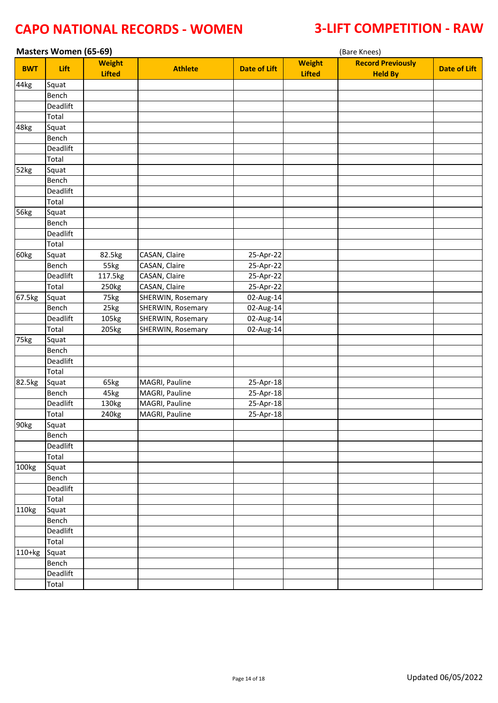| <b>Masters Women (65-69)</b> |          |                                |                   |                     |                                | (Bare Knees)                               |                     |
|------------------------------|----------|--------------------------------|-------------------|---------------------|--------------------------------|--------------------------------------------|---------------------|
| <b>BWT</b>                   | Lift     | <b>Weight</b><br><b>Lifted</b> | <b>Athlete</b>    | <b>Date of Lift</b> | <b>Weight</b><br><b>Lifted</b> | <b>Record Previously</b><br><b>Held By</b> | <b>Date of Lift</b> |
| 44kg                         | Squat    |                                |                   |                     |                                |                                            |                     |
|                              | Bench    |                                |                   |                     |                                |                                            |                     |
|                              | Deadlift |                                |                   |                     |                                |                                            |                     |
|                              | Total    |                                |                   |                     |                                |                                            |                     |
| 48kg                         | Squat    |                                |                   |                     |                                |                                            |                     |
|                              | Bench    |                                |                   |                     |                                |                                            |                     |
|                              | Deadlift |                                |                   |                     |                                |                                            |                     |
|                              | Total    |                                |                   |                     |                                |                                            |                     |
| 52kg                         | Squat    |                                |                   |                     |                                |                                            |                     |
|                              | Bench    |                                |                   |                     |                                |                                            |                     |
|                              | Deadlift |                                |                   |                     |                                |                                            |                     |
|                              | Total    |                                |                   |                     |                                |                                            |                     |
| 56kg                         | Squat    |                                |                   |                     |                                |                                            |                     |
|                              | Bench    |                                |                   |                     |                                |                                            |                     |
|                              | Deadlift |                                |                   |                     |                                |                                            |                     |
|                              | Total    |                                |                   |                     |                                |                                            |                     |
| 60kg                         | Squat    | 82.5kg                         | CASAN, Claire     | 25-Apr-22           |                                |                                            |                     |
|                              | Bench    | 55kg                           | CASAN, Claire     | 25-Apr-22           |                                |                                            |                     |
|                              | Deadlift | 117.5kg                        | CASAN, Claire     | 25-Apr-22           |                                |                                            |                     |
|                              | Total    | 250kg                          | CASAN, Claire     | 25-Apr-22           |                                |                                            |                     |
| 67.5kg                       | Squat    | 75kg                           | SHERWIN, Rosemary | 02-Aug-14           |                                |                                            |                     |
|                              | Bench    | 25kg                           | SHERWIN, Rosemary | 02-Aug-14           |                                |                                            |                     |
|                              | Deadlift | 105kg                          | SHERWIN, Rosemary | 02-Aug-14           |                                |                                            |                     |
|                              | Total    | 205kg                          | SHERWIN, Rosemary | 02-Aug-14           |                                |                                            |                     |
| 75kg                         | Squat    |                                |                   |                     |                                |                                            |                     |
|                              | Bench    |                                |                   |                     |                                |                                            |                     |
|                              | Deadlift |                                |                   |                     |                                |                                            |                     |
|                              | Total    |                                |                   |                     |                                |                                            |                     |
| 82.5kg                       | Squat    | 65kg                           | MAGRI, Pauline    | 25-Apr-18           |                                |                                            |                     |
|                              | Bench    | 45kg                           | MAGRI, Pauline    | 25-Apr-18           |                                |                                            |                     |
|                              | Deadlift | 130kg                          | MAGRI, Pauline    | 25-Apr-18           |                                |                                            |                     |
|                              | Total    | 240kg                          | MAGRI, Pauline    | 25-Apr-18           |                                |                                            |                     |
| 90 <sub>kg</sub>             | Squat    |                                |                   |                     |                                |                                            |                     |
|                              | Bench    |                                |                   |                     |                                |                                            |                     |
|                              | Deadlift |                                |                   |                     |                                |                                            |                     |
|                              | Total    |                                |                   |                     |                                |                                            |                     |
| 100kg                        | Squat    |                                |                   |                     |                                |                                            |                     |
|                              | Bench    |                                |                   |                     |                                |                                            |                     |
|                              | Deadlift |                                |                   |                     |                                |                                            |                     |
|                              | Total    |                                |                   |                     |                                |                                            |                     |
| 110kg                        | Squat    |                                |                   |                     |                                |                                            |                     |
|                              | Bench    |                                |                   |                     |                                |                                            |                     |
|                              | Deadlift |                                |                   |                     |                                |                                            |                     |
|                              | Total    |                                |                   |                     |                                |                                            |                     |
| 110+kg                       | Squat    |                                |                   |                     |                                |                                            |                     |
|                              | Bench    |                                |                   |                     |                                |                                            |                     |
|                              | Deadlift |                                |                   |                     |                                |                                            |                     |
|                              | Total    |                                |                   |                     |                                |                                            |                     |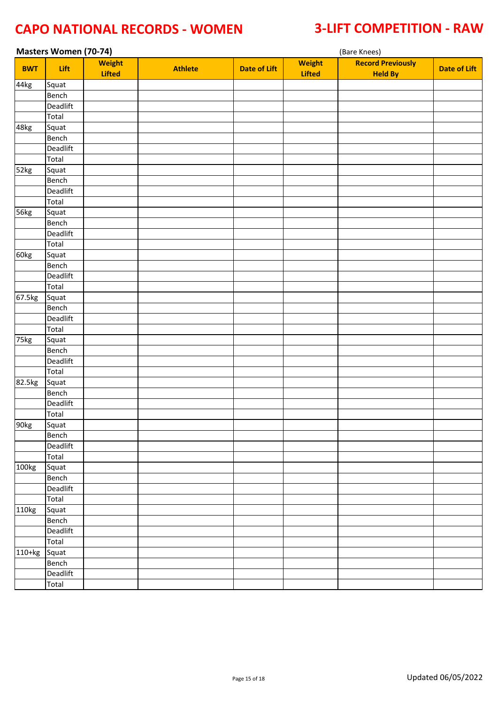| <b>Masters Women (70-74)</b> |          |                                |                |                     | (Bare Knees)                   |                                            |                     |  |  |
|------------------------------|----------|--------------------------------|----------------|---------------------|--------------------------------|--------------------------------------------|---------------------|--|--|
| <b>BWT</b>                   | Lift     | <b>Weight</b><br><b>Lifted</b> | <b>Athlete</b> | <b>Date of Lift</b> | <b>Weight</b><br><b>Lifted</b> | <b>Record Previously</b><br><b>Held By</b> | <b>Date of Lift</b> |  |  |
| 44kg                         | Squat    |                                |                |                     |                                |                                            |                     |  |  |
|                              | Bench    |                                |                |                     |                                |                                            |                     |  |  |
|                              | Deadlift |                                |                |                     |                                |                                            |                     |  |  |
|                              | Total    |                                |                |                     |                                |                                            |                     |  |  |
| 48kg                         | Squat    |                                |                |                     |                                |                                            |                     |  |  |
|                              | Bench    |                                |                |                     |                                |                                            |                     |  |  |
|                              | Deadlift |                                |                |                     |                                |                                            |                     |  |  |
|                              | Total    |                                |                |                     |                                |                                            |                     |  |  |
| 52kg                         | Squat    |                                |                |                     |                                |                                            |                     |  |  |
|                              | Bench    |                                |                |                     |                                |                                            |                     |  |  |
|                              | Deadlift |                                |                |                     |                                |                                            |                     |  |  |
|                              | Total    |                                |                |                     |                                |                                            |                     |  |  |
| 56kg                         | Squat    |                                |                |                     |                                |                                            |                     |  |  |
|                              | Bench    |                                |                |                     |                                |                                            |                     |  |  |
|                              | Deadlift |                                |                |                     |                                |                                            |                     |  |  |
|                              | Total    |                                |                |                     |                                |                                            |                     |  |  |
| 60kg                         | Squat    |                                |                |                     |                                |                                            |                     |  |  |
|                              | Bench    |                                |                |                     |                                |                                            |                     |  |  |
|                              | Deadlift |                                |                |                     |                                |                                            |                     |  |  |
|                              | Total    |                                |                |                     |                                |                                            |                     |  |  |
| 67.5kg                       | Squat    |                                |                |                     |                                |                                            |                     |  |  |
|                              | Bench    |                                |                |                     |                                |                                            |                     |  |  |
|                              | Deadlift |                                |                |                     |                                |                                            |                     |  |  |
|                              | Total    |                                |                |                     |                                |                                            |                     |  |  |
| 75kg                         | Squat    |                                |                |                     |                                |                                            |                     |  |  |
|                              | Bench    |                                |                |                     |                                |                                            |                     |  |  |
|                              | Deadlift |                                |                |                     |                                |                                            |                     |  |  |
|                              | Total    |                                |                |                     |                                |                                            |                     |  |  |
| 82.5kg                       | Squat    |                                |                |                     |                                |                                            |                     |  |  |
|                              | Bench    |                                |                |                     |                                |                                            |                     |  |  |
|                              | Deadlift |                                |                |                     |                                |                                            |                     |  |  |
|                              | Total    |                                |                |                     |                                |                                            |                     |  |  |
| 90kg                         | Squat    |                                |                |                     |                                |                                            |                     |  |  |
|                              | Bench    |                                |                |                     |                                |                                            |                     |  |  |
|                              | Deadlift |                                |                |                     |                                |                                            |                     |  |  |
|                              | Total    |                                |                |                     |                                |                                            |                     |  |  |
| 100kg                        | Squat    |                                |                |                     |                                |                                            |                     |  |  |
|                              | Bench    |                                |                |                     |                                |                                            |                     |  |  |
|                              | Deadlift |                                |                |                     |                                |                                            |                     |  |  |
|                              | Total    |                                |                |                     |                                |                                            |                     |  |  |
| 110kg                        | Squat    |                                |                |                     |                                |                                            |                     |  |  |
|                              | Bench    |                                |                |                     |                                |                                            |                     |  |  |
|                              | Deadlift |                                |                |                     |                                |                                            |                     |  |  |
|                              | Total    |                                |                |                     |                                |                                            |                     |  |  |
| $110+kg$                     | Squat    |                                |                |                     |                                |                                            |                     |  |  |
|                              | Bench    |                                |                |                     |                                |                                            |                     |  |  |
|                              | Deadlift |                                |                |                     |                                |                                            |                     |  |  |
|                              | Total    |                                |                |                     |                                |                                            |                     |  |  |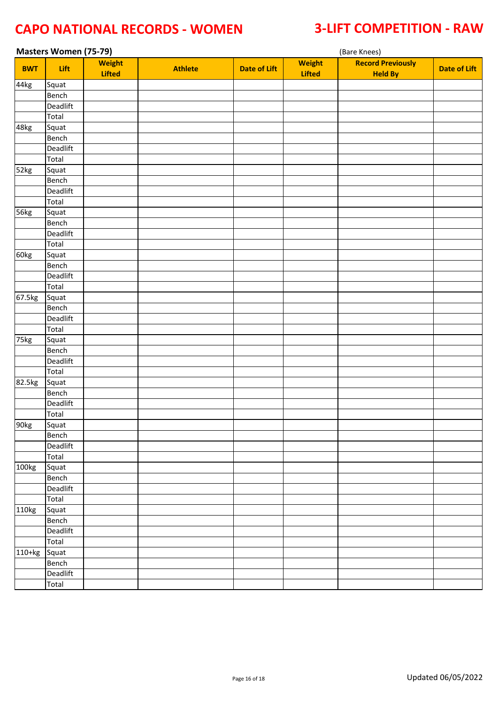| <b>Masters Women (75-79)</b> |                    |                                |                |                     | (Bare Knees)                   |                                            |                     |  |  |  |
|------------------------------|--------------------|--------------------------------|----------------|---------------------|--------------------------------|--------------------------------------------|---------------------|--|--|--|
| <b>BWT</b>                   | Lift               | <b>Weight</b><br><b>Lifted</b> | <b>Athlete</b> | <b>Date of Lift</b> | <b>Weight</b><br><b>Lifted</b> | <b>Record Previously</b><br><b>Held By</b> | <b>Date of Lift</b> |  |  |  |
| 44kg                         | $\overline{$ Squat |                                |                |                     |                                |                                            |                     |  |  |  |
|                              | Bench              |                                |                |                     |                                |                                            |                     |  |  |  |
|                              | Deadlift           |                                |                |                     |                                |                                            |                     |  |  |  |
|                              | Total              |                                |                |                     |                                |                                            |                     |  |  |  |
| 48kg                         | Squat              |                                |                |                     |                                |                                            |                     |  |  |  |
|                              | Bench              |                                |                |                     |                                |                                            |                     |  |  |  |
|                              | Deadlift           |                                |                |                     |                                |                                            |                     |  |  |  |
|                              | Total              |                                |                |                     |                                |                                            |                     |  |  |  |
| 52kg                         | Squat              |                                |                |                     |                                |                                            |                     |  |  |  |
|                              | Bench              |                                |                |                     |                                |                                            |                     |  |  |  |
|                              | Deadlift           |                                |                |                     |                                |                                            |                     |  |  |  |
|                              | Total              |                                |                |                     |                                |                                            |                     |  |  |  |
| 56kg                         | Squat              |                                |                |                     |                                |                                            |                     |  |  |  |
|                              | Bench              |                                |                |                     |                                |                                            |                     |  |  |  |
|                              | Deadlift           |                                |                |                     |                                |                                            |                     |  |  |  |
|                              | Total              |                                |                |                     |                                |                                            |                     |  |  |  |
| 60kg                         | Squat              |                                |                |                     |                                |                                            |                     |  |  |  |
|                              | Bench              |                                |                |                     |                                |                                            |                     |  |  |  |
|                              | Deadlift           |                                |                |                     |                                |                                            |                     |  |  |  |
|                              | Total              |                                |                |                     |                                |                                            |                     |  |  |  |
| 67.5kg                       | Squat              |                                |                |                     |                                |                                            |                     |  |  |  |
|                              | Bench              |                                |                |                     |                                |                                            |                     |  |  |  |
|                              | Deadlift           |                                |                |                     |                                |                                            |                     |  |  |  |
|                              | Total              |                                |                |                     |                                |                                            |                     |  |  |  |
| 75kg                         | Squat              |                                |                |                     |                                |                                            |                     |  |  |  |
|                              | Bench              |                                |                |                     |                                |                                            |                     |  |  |  |
|                              | Deadlift           |                                |                |                     |                                |                                            |                     |  |  |  |
|                              | Total              |                                |                |                     |                                |                                            |                     |  |  |  |
| 82.5kg                       | Squat              |                                |                |                     |                                |                                            |                     |  |  |  |
|                              | Bench              |                                |                |                     |                                |                                            |                     |  |  |  |
|                              | Deadlift           |                                |                |                     |                                |                                            |                     |  |  |  |
|                              | Total              |                                |                |                     |                                |                                            |                     |  |  |  |
| 90kg                         | Squat              |                                |                |                     |                                |                                            |                     |  |  |  |
|                              | Bench              |                                |                |                     |                                |                                            |                     |  |  |  |
|                              | Deadlift           |                                |                |                     |                                |                                            |                     |  |  |  |
|                              | Total              |                                |                |                     |                                |                                            |                     |  |  |  |
| 100kg                        | Squat              |                                |                |                     |                                |                                            |                     |  |  |  |
|                              | Bench              |                                |                |                     |                                |                                            |                     |  |  |  |
|                              | Deadlift           |                                |                |                     |                                |                                            |                     |  |  |  |
|                              | Total              |                                |                |                     |                                |                                            |                     |  |  |  |
| 110kg                        | Squat              |                                |                |                     |                                |                                            |                     |  |  |  |
|                              | Bench              |                                |                |                     |                                |                                            |                     |  |  |  |
|                              | Deadlift           |                                |                |                     |                                |                                            |                     |  |  |  |
|                              | Total              |                                |                |                     |                                |                                            |                     |  |  |  |
| 110+kg                       | Squat              |                                |                |                     |                                |                                            |                     |  |  |  |
|                              | Bench              |                                |                |                     |                                |                                            |                     |  |  |  |
|                              | Deadlift           |                                |                |                     |                                |                                            |                     |  |  |  |
|                              | Total              |                                |                |                     |                                |                                            |                     |  |  |  |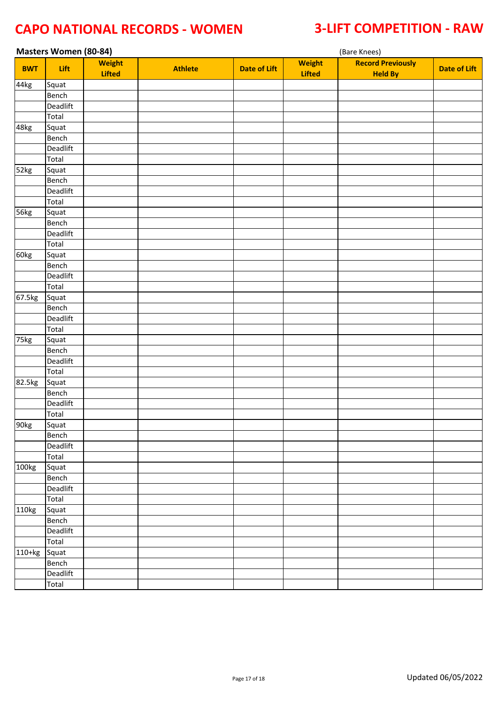| <b>Masters Women (80-84)</b> |          |                                |                |                     |                                | (Bare Knees)                               |                     |  |  |  |
|------------------------------|----------|--------------------------------|----------------|---------------------|--------------------------------|--------------------------------------------|---------------------|--|--|--|
| <b>BWT</b>                   | Lift     | <b>Weight</b><br><b>Lifted</b> | <b>Athlete</b> | <b>Date of Lift</b> | <b>Weight</b><br><b>Lifted</b> | <b>Record Previously</b><br><b>Held By</b> | <b>Date of Lift</b> |  |  |  |
| 44kg                         | Squat    |                                |                |                     |                                |                                            |                     |  |  |  |
|                              | Bench    |                                |                |                     |                                |                                            |                     |  |  |  |
|                              | Deadlift |                                |                |                     |                                |                                            |                     |  |  |  |
|                              | Total    |                                |                |                     |                                |                                            |                     |  |  |  |
| 48kg                         | Squat    |                                |                |                     |                                |                                            |                     |  |  |  |
|                              | Bench    |                                |                |                     |                                |                                            |                     |  |  |  |
|                              | Deadlift |                                |                |                     |                                |                                            |                     |  |  |  |
|                              | Total    |                                |                |                     |                                |                                            |                     |  |  |  |
| 52kg                         | Squat    |                                |                |                     |                                |                                            |                     |  |  |  |
|                              | Bench    |                                |                |                     |                                |                                            |                     |  |  |  |
|                              | Deadlift |                                |                |                     |                                |                                            |                     |  |  |  |
|                              | Total    |                                |                |                     |                                |                                            |                     |  |  |  |
| 56kg                         | Squat    |                                |                |                     |                                |                                            |                     |  |  |  |
|                              | Bench    |                                |                |                     |                                |                                            |                     |  |  |  |
|                              | Deadlift |                                |                |                     |                                |                                            |                     |  |  |  |
|                              | Total    |                                |                |                     |                                |                                            |                     |  |  |  |
| 60kg                         | Squat    |                                |                |                     |                                |                                            |                     |  |  |  |
|                              | Bench    |                                |                |                     |                                |                                            |                     |  |  |  |
|                              | Deadlift |                                |                |                     |                                |                                            |                     |  |  |  |
|                              | Total    |                                |                |                     |                                |                                            |                     |  |  |  |
| 67.5kg                       | Squat    |                                |                |                     |                                |                                            |                     |  |  |  |
|                              | Bench    |                                |                |                     |                                |                                            |                     |  |  |  |
|                              | Deadlift |                                |                |                     |                                |                                            |                     |  |  |  |
|                              | Total    |                                |                |                     |                                |                                            |                     |  |  |  |
| 75kg                         | Squat    |                                |                |                     |                                |                                            |                     |  |  |  |
|                              | Bench    |                                |                |                     |                                |                                            |                     |  |  |  |
|                              | Deadlift |                                |                |                     |                                |                                            |                     |  |  |  |
|                              | Total    |                                |                |                     |                                |                                            |                     |  |  |  |
| 82.5kg                       | Squat    |                                |                |                     |                                |                                            |                     |  |  |  |
|                              | Bench    |                                |                |                     |                                |                                            |                     |  |  |  |
|                              | Deadlift |                                |                |                     |                                |                                            |                     |  |  |  |
|                              | Total    |                                |                |                     |                                |                                            |                     |  |  |  |
| 90 <sub>kg</sub>             | Squat    |                                |                |                     |                                |                                            |                     |  |  |  |
|                              | Bench    |                                |                |                     |                                |                                            |                     |  |  |  |
|                              | Deadlift |                                |                |                     |                                |                                            |                     |  |  |  |
|                              | Total    |                                |                |                     |                                |                                            |                     |  |  |  |
| 100kg                        | Squat    |                                |                |                     |                                |                                            |                     |  |  |  |
|                              | Bench    |                                |                |                     |                                |                                            |                     |  |  |  |
|                              | Deadlift |                                |                |                     |                                |                                            |                     |  |  |  |
|                              | Total    |                                |                |                     |                                |                                            |                     |  |  |  |
| 110kg                        | Squat    |                                |                |                     |                                |                                            |                     |  |  |  |
|                              | Bench    |                                |                |                     |                                |                                            |                     |  |  |  |
|                              | Deadlift |                                |                |                     |                                |                                            |                     |  |  |  |
|                              | Total    |                                |                |                     |                                |                                            |                     |  |  |  |
| 110+kg                       | Squat    |                                |                |                     |                                |                                            |                     |  |  |  |
|                              | Bench    |                                |                |                     |                                |                                            |                     |  |  |  |
|                              | Deadlift |                                |                |                     |                                |                                            |                     |  |  |  |
|                              | Total    |                                |                |                     |                                |                                            |                     |  |  |  |